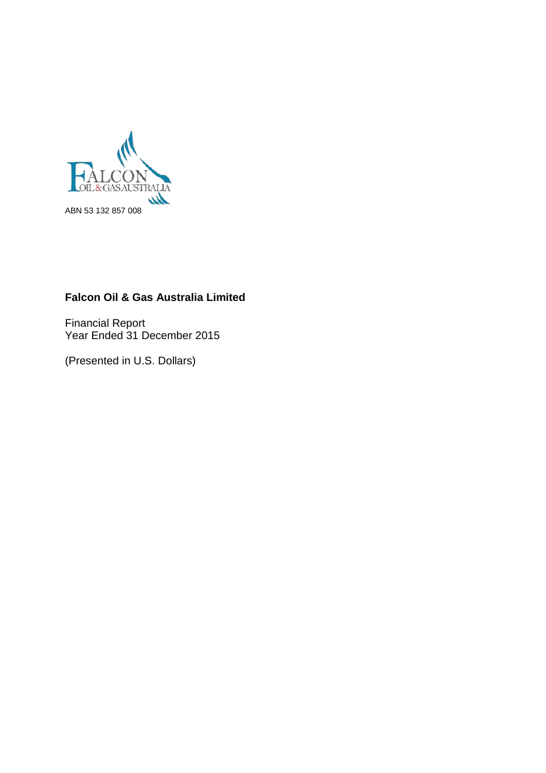

# **Falcon Oil & Gas Australia Limited**

Financial Report Year Ended 31 December 2015

(Presented in U.S. Dollars)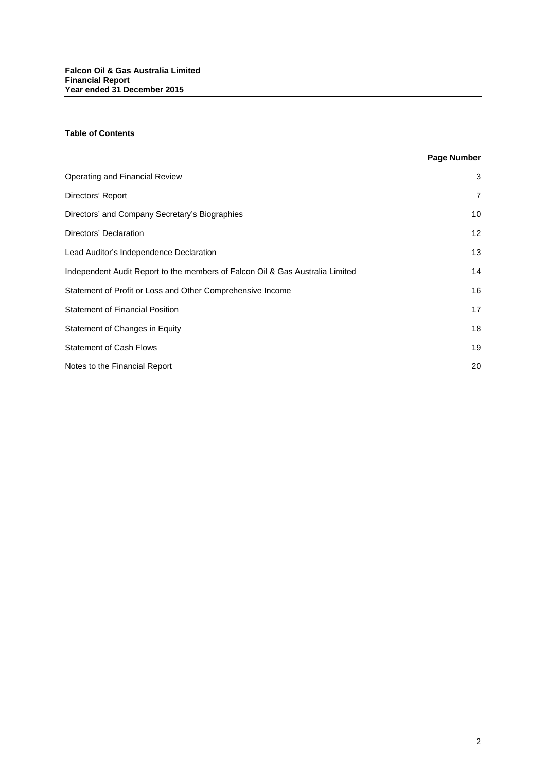## **Table of Contents**

## **Page Number**

| Operating and Financial Review                                                | 3  |
|-------------------------------------------------------------------------------|----|
| Directors' Report                                                             | 7  |
| Directors' and Company Secretary's Biographies                                | 10 |
| Directors' Declaration                                                        | 12 |
| Lead Auditor's Independence Declaration                                       | 13 |
| Independent Audit Report to the members of Falcon Oil & Gas Australia Limited | 14 |
| Statement of Profit or Loss and Other Comprehensive Income                    | 16 |
| <b>Statement of Financial Position</b>                                        | 17 |
| Statement of Changes in Equity                                                | 18 |
| <b>Statement of Cash Flows</b>                                                | 19 |
| Notes to the Financial Report                                                 | 20 |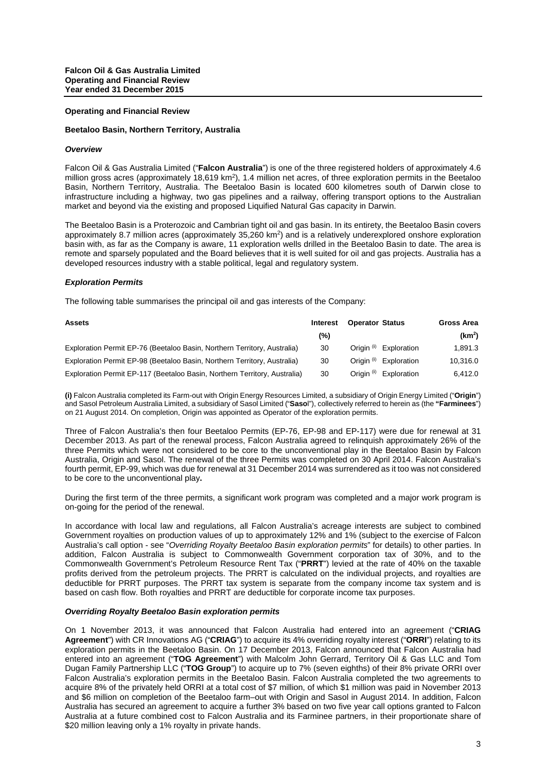#### **Operating and Financial Review**

#### **Beetaloo Basin, Northern Territory, Australia**

#### *Overview*

Falcon Oil & Gas Australia Limited ("**Falcon Australia**") is one of the three registered holders of approximately 4.6 million gross acres (approximately 18,619 km<sup>2</sup>), 1.4 million net acres, of three exploration permits in the Beetaloo Basin, Northern Territory, Australia. The Beetaloo Basin is located 600 kilometres south of Darwin close to infrastructure including a highway, two gas pipelines and a railway, offering transport options to the Australian market and beyond via the existing and proposed Liquified Natural Gas capacity in Darwin.

The Beetaloo Basin is a Proterozoic and Cambrian tight oil and gas basin. In its entirety, the Beetaloo Basin covers approximately 8.7 million acres (approximately 35,260 km<sup>2</sup>) and is a relatively underexplored onshore exploration basin with, as far as the Company is aware, 11 exploration wells drilled in the Beetaloo Basin to date. The area is remote and sparsely populated and the Board believes that it is well suited for oil and gas projects. Australia has a developed resources industry with a stable political, legal and regulatory system.

#### *Exploration Permits*

The following table summarises the principal oil and gas interests of the Company:

| <b>Assets</b>                                                             | <b>Interest</b> | <b>Operator Status</b>    | Gross Area         |
|---------------------------------------------------------------------------|-----------------|---------------------------|--------------------|
|                                                                           | (%)             |                           | (km <sup>2</sup> ) |
| Exploration Permit EP-76 (Beetaloo Basin, Northern Territory, Australia)  | 30              | Origin (i)<br>Exploration | 1.891.3            |
| Exploration Permit EP-98 (Beetaloo Basin, Northern Territory, Australia)  | 30              | Origin (i)<br>Exploration | 10.316.0           |
| Exploration Permit EP-117 (Beetaloo Basin, Northern Territory, Australia) | 30              | Origin (i)<br>Exploration | 6.412.0            |

**(i)** Falcon Australia completed its Farm-out with Origin Energy Resources Limited, a subsidiary of Origin Energy Limited ("**Origin**") and Sasol Petroleum Australia Limited, a subsidiary of Sasol Limited ("**Saso**l"), collectively referred to herein as (the **"Farminees**") on 21 August 2014. On completion, Origin was appointed as Operator of the exploration permits.

Three of Falcon Australia's then four Beetaloo Permits (EP-76, EP-98 and EP-117) were due for renewal at 31 December 2013. As part of the renewal process, Falcon Australia agreed to relinquish approximately 26% of the three Permits which were not considered to be core to the unconventional play in the Beetaloo Basin by Falcon Australia, Origin and Sasol. The renewal of the three Permits was completed on 30 April 2014. Falcon Australia's fourth permit, EP-99, which was due for renewal at 31 December 2014 was surrendered as it too was not considered to be core to the unconventional play**.**

During the first term of the three permits, a significant work program was completed and a major work program is on-going for the period of the renewal.

In accordance with local law and regulations, all Falcon Australia's acreage interests are subject to combined Government royalties on production values of up to approximately 12% and 1% (subject to the exercise of Falcon Australia's call option - see "*Overriding Royalty Beetaloo Basin exploration permits*" for details) to other parties. In addition, Falcon Australia is subject to Commonwealth Government corporation tax of 30%, and to the Commonwealth Government's Petroleum Resource Rent Tax ("**PRRT**") levied at the rate of 40% on the taxable profits derived from the petroleum projects. The PRRT is calculated on the individual projects, and royalties are deductible for PRRT purposes. The PRRT tax system is separate from the company income tax system and is based on cash flow. Both royalties and PRRT are deductible for corporate income tax purposes.

#### *Overriding Royalty Beetaloo Basin exploration permits*

On 1 November 2013, it was announced that Falcon Australia had entered into an agreement ("**CRIAG Agreement**") with CR Innovations AG ("**CRIAG**") to acquire its 4% overriding royalty interest ("**ORRI**") relating to its exploration permits in the Beetaloo Basin. On 17 December 2013, Falcon announced that Falcon Australia had entered into an agreement ("**TOG Agreement**") with Malcolm John Gerrard, Territory Oil & Gas LLC and Tom Dugan Family Partnership LLC ("**TOG Group**") to acquire up to 7% (seven eighths) of their 8% private ORRI over Falcon Australia's exploration permits in the Beetaloo Basin. Falcon Australia completed the two agreements to acquire 8% of the privately held ORRI at a total cost of \$7 million, of which \$1 million was paid in November 2013 and \$6 million on completion of the Beetaloo farm–out with Origin and Sasol in August 2014. In addition, Falcon Australia has secured an agreement to acquire a further 3% based on two five year call options granted to Falcon Australia at a future combined cost to Falcon Australia and its Farminee partners, in their proportionate share of \$20 million leaving only a 1% royalty in private hands.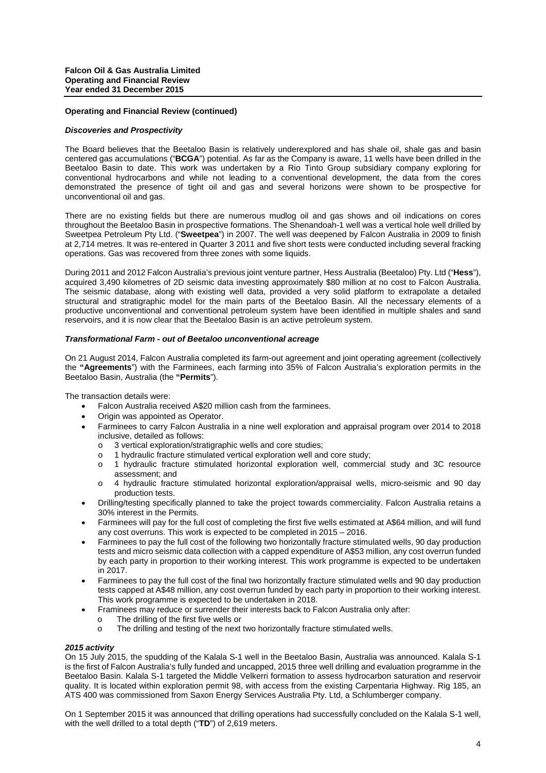## **Operating and Financial Review (continued)**

## *Discoveries and Prospectivity*

The Board believes that the Beetaloo Basin is relatively underexplored and has shale oil, shale gas and basin centered gas accumulations ("**BCGA**") potential. As far as the Company is aware, 11 wells have been drilled in the Beetaloo Basin to date. This work was undertaken by a Rio Tinto Group subsidiary company exploring for conventional hydrocarbons and while not leading to a conventional development, the data from the cores demonstrated the presence of tight oil and gas and several horizons were shown to be prospective for unconventional oil and gas.

There are no existing fields but there are numerous mudlog oil and gas shows and oil indications on cores throughout the Beetaloo Basin in prospective formations. The Shenandoah-1 well was a vertical hole well drilled by Sweetpea Petroleum Pty Ltd. ("**Sweetpea**") in 2007. The well was deepened by Falcon Australia in 2009 to finish at 2,714 metres. It was re-entered in Quarter 3 2011 and five short tests were conducted including several fracking operations. Gas was recovered from three zones with some liquids.

During 2011 and 2012 Falcon Australia's previous joint venture partner, Hess Australia (Beetaloo) Pty. Ltd ("**Hess**"), acquired 3,490 kilometres of 2D seismic data investing approximately \$80 million at no cost to Falcon Australia. The seismic database, along with existing well data, provided a very solid platform to extrapolate a detailed structural and stratigraphic model for the main parts of the Beetaloo Basin. All the necessary elements of a productive unconventional and conventional petroleum system have been identified in multiple shales and sand reservoirs, and it is now clear that the Beetaloo Basin is an active petroleum system.

## *Transformational Farm - out of Beetaloo unconventional acreage*

On 21 August 2014, Falcon Australia completed its farm-out agreement and joint operating agreement (collectively the **"Agreements**") with the Farminees, each farming into 35% of Falcon Australia's exploration permits in the Beetaloo Basin, Australia (the **"Permits**").

The transaction details were:

- Falcon Australia received A\$20 million cash from the farminees.
- Origin was appointed as Operator.
- Farminees to carry Falcon Australia in a nine well exploration and appraisal program over 2014 to 2018 inclusive, detailed as follows:
	- o 3 vertical exploration/stratigraphic wells and core studies;<br>
	o 1 hydraulic fracture stimulated vertical exploration well and
	- o 1 hydraulic fracture stimulated vertical exploration well and core study;
	- 1 hydraulic fracture stimulated horizontal exploration well, commercial study and 3C resource assessment; and
	- o 4 hydraulic fracture stimulated horizontal exploration/appraisal wells, micro-seismic and 90 day production tests.
- Drilling/testing specifically planned to take the project towards commerciality. Falcon Australia retains a 30% interest in the Permits.
- Farminees will pay for the full cost of completing the first five wells estimated at A\$64 million, and will fund any cost overruns. This work is expected to be completed in 2015 – 2016.
- Farminees to pay the full cost of the following two horizontally fracture stimulated wells, 90 day production tests and micro seismic data collection with a capped expenditure of A\$53 million, any cost overrun funded by each party in proportion to their working interest. This work programme is expected to be undertaken in 2017.
- Farminees to pay the full cost of the final two horizontally fracture stimulated wells and 90 day production tests capped at A\$48 million, any cost overrun funded by each party in proportion to their working interest. This work programme is expected to be undertaken in 2018.
- Framinees may reduce or surrender their interests back to Falcon Australia only after: o The drilling of the first five wells or<br>
o The drilling and testing of the next
	- The drilling and testing of the next two horizontally fracture stimulated wells.

## *2015 activity*

On 15 July 2015, the spudding of the Kalala S-1 well in the Beetaloo Basin, Australia was announced. Kalala S-1 is the first of Falcon Australia's fully funded and uncapped, 2015 three well drilling and evaluation programme in the Beetaloo Basin. Kalala S-1 targeted the Middle Velkerri formation to assess hydrocarbon saturation and reservoir quality. It is located within exploration permit 98, with access from the existing Carpentaria Highway. Rig 185, an ATS 400 was commissioned from Saxon Energy Services Australia Pty. Ltd, a Schlumberger company.

On 1 September 2015 it was announced that drilling operations had successfully concluded on the Kalala S-1 well, with the well drilled to a total depth ("**TD**") of 2,619 meters.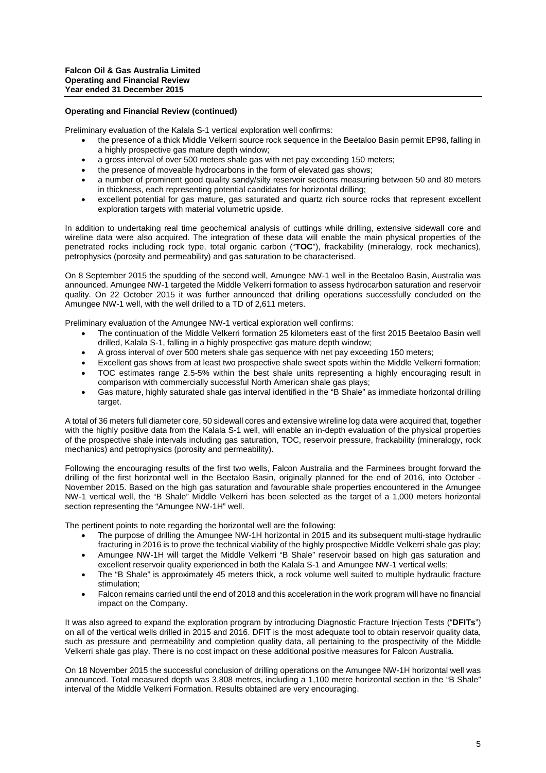## **Operating and Financial Review (continued)**

Preliminary evaluation of the Kalala S-1 vertical exploration well confirms:

- the presence of a thick Middle Velkerri source rock sequence in the Beetaloo Basin permit EP98, falling in a highly prospective gas mature depth window;
- a gross interval of over 500 meters shale gas with net pay exceeding 150 meters;
- the presence of moveable hydrocarbons in the form of elevated gas shows;
- a number of prominent good quality sandy/silty reservoir sections measuring between 50 and 80 meters in thickness, each representing potential candidates for horizontal drilling;
- excellent potential for gas mature, gas saturated and quartz rich source rocks that represent excellent exploration targets with material volumetric upside.

In addition to undertaking real time geochemical analysis of cuttings while drilling, extensive sidewall core and wireline data were also acquired. The integration of these data will enable the main physical properties of the penetrated rocks including rock type, total organic carbon ("**TOC**"), frackability (mineralogy, rock mechanics), petrophysics (porosity and permeability) and gas saturation to be characterised.

On 8 September 2015 the spudding of the second well, Amungee NW-1 well in the Beetaloo Basin, Australia was announced. Amungee NW-1 targeted the Middle Velkerri formation to assess hydrocarbon saturation and reservoir quality. On 22 October 2015 it was further announced that drilling operations successfully concluded on the Amungee NW-1 well, with the well drilled to a TD of 2,611 meters.

Preliminary evaluation of the Amungee NW-1 vertical exploration well confirms:

- The continuation of the Middle Velkerri formation 25 kilometers east of the first 2015 Beetaloo Basin well drilled, Kalala S-1, falling in a highly prospective gas mature depth window;
- A gross interval of over 500 meters shale gas sequence with net pay exceeding 150 meters;
- Excellent gas shows from at least two prospective shale sweet spots within the Middle Velkerri formation; • TOC estimates range 2.5-5% within the best shale units representing a highly encouraging result in
- comparison with commercially successful North American shale gas plays;
- Gas mature, highly saturated shale gas interval identified in the "B Shale" as immediate horizontal drilling target.

A total of 36 meters full diameter core, 50 sidewall cores and extensive wireline log data were acquired that, together with the highly positive data from the Kalala S-1 well, will enable an in-depth evaluation of the physical properties of the prospective shale intervals including gas saturation, TOC, reservoir pressure, frackability (mineralogy, rock mechanics) and petrophysics (porosity and permeability).

Following the encouraging results of the first two wells, Falcon Australia and the Farminees brought forward the drilling of the first horizontal well in the Beetaloo Basin, originally planned for the end of 2016, into October - November 2015. Based on the high gas saturation and favourable shale properties encountered in the Amungee NW-1 vertical well, the "B Shale" Middle Velkerri has been selected as the target of a 1,000 meters horizontal section representing the "Amungee NW-1H" well.

The pertinent points to note regarding the horizontal well are the following:

- The purpose of drilling the Amungee NW-1H horizontal in 2015 and its subsequent multi-stage hydraulic fracturing in 2016 is to prove the technical viability of the highly prospective Middle Velkerri shale gas play;
- Amungee NW-1H will target the Middle Velkerri "B Shale" reservoir based on high gas saturation and excellent reservoir quality experienced in both the Kalala S-1 and Amungee NW-1 vertical wells;
- The "B Shale" is approximately 45 meters thick, a rock volume well suited to multiple hydraulic fracture stimulation;
- Falcon remains carried until the end of 2018 and this acceleration in the work program will have no financial impact on the Company.

It was also agreed to expand the exploration program by introducing Diagnostic Fracture Injection Tests ("**DFITs**") on all of the vertical wells drilled in 2015 and 2016. DFIT is the most adequate tool to obtain reservoir quality data, such as pressure and permeability and completion quality data, all pertaining to the prospectivity of the Middle Velkerri shale gas play. There is no cost impact on these additional positive measures for Falcon Australia.

On 18 November 2015 the successful conclusion of drilling operations on the Amungee NW-1H horizontal well was announced. Total measured depth was 3,808 metres, including a 1,100 metre horizontal section in the "B Shale" interval of the Middle Velkerri Formation. Results obtained are very encouraging.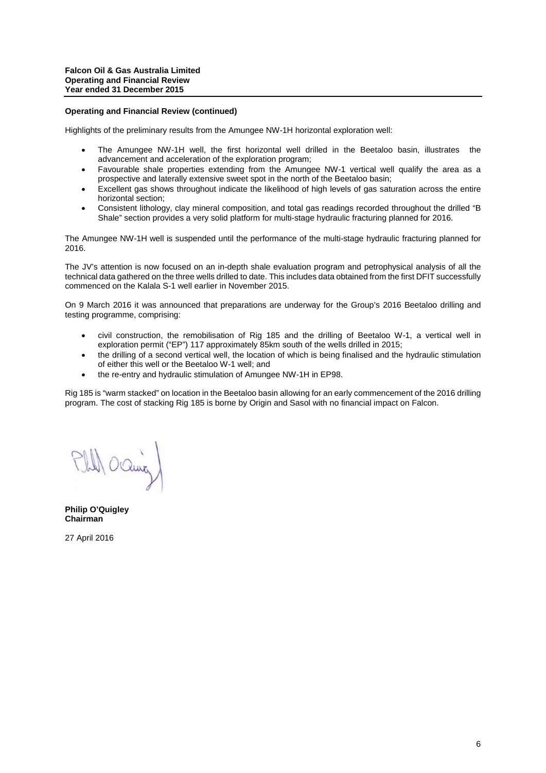## **Operating and Financial Review (continued)**

Highlights of the preliminary results from the Amungee NW-1H horizontal exploration well:

- The Amungee NW-1H well, the first horizontal well drilled in the Beetaloo basin, illustrates the advancement and acceleration of the exploration program;
- Favourable shale properties extending from the Amungee NW-1 vertical well qualify the area as a prospective and laterally extensive sweet spot in the north of the Beetaloo basin;
- Excellent gas shows throughout indicate the likelihood of high levels of gas saturation across the entire horizontal section;
- Consistent lithology, clay mineral composition, and total gas readings recorded throughout the drilled "B Shale" section provides a very solid platform for multi-stage hydraulic fracturing planned for 2016.

The Amungee NW-1H well is suspended until the performance of the multi-stage hydraulic fracturing planned for 2016.

The JV's attention is now focused on an in-depth shale evaluation program and petrophysical analysis of all the technical data gathered on the three wells drilled to date. This includes data obtained from the first DFIT successfully commenced on the Kalala S-1 well earlier in November 2015.

On 9 March 2016 it was announced that preparations are underway for the Group's 2016 Beetaloo drilling and testing programme, comprising:

- civil construction, the remobilisation of Rig 185 and the drilling of Beetaloo W-1, a vertical well in exploration permit ("EP") 117 approximately 85km south of the wells drilled in 2015;
- the drilling of a second vertical well, the location of which is being finalised and the hydraulic stimulation of either this well or the Beetaloo W-1 well; and
- the re-entry and hydraulic stimulation of Amungee NW-1H in EP98.

Rig 185 is "warm stacked" on location in the Beetaloo basin allowing for an early commencement of the 2016 drilling program. The cost of stacking Rig 185 is borne by Origin and Sasol with no financial impact on Falcon.

Plan Ocaming)

**Philip O'Quigley Chairman**

27 April 2016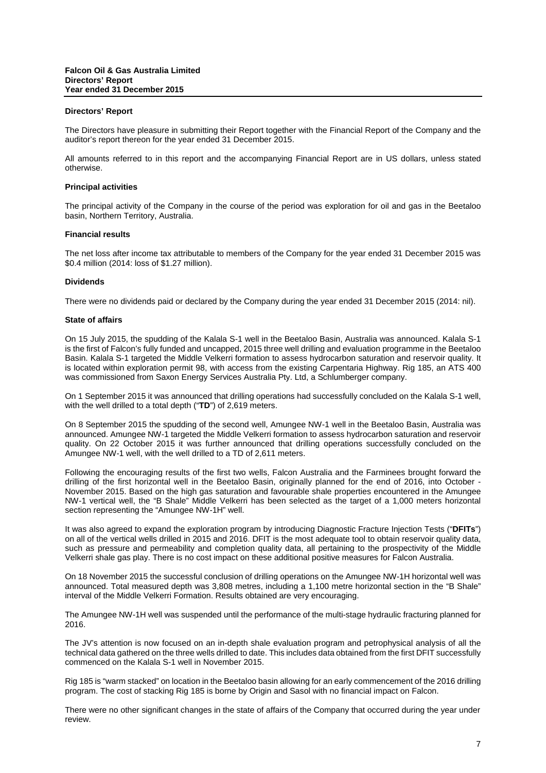#### **Directors' Report**

The Directors have pleasure in submitting their Report together with the Financial Report of the Company and the auditor's report thereon for the year ended 31 December 2015.

All amounts referred to in this report and the accompanying Financial Report are in US dollars, unless stated otherwise.

#### **Principal activities**

The principal activity of the Company in the course of the period was exploration for oil and gas in the Beetaloo basin, Northern Territory, Australia.

#### **Financial results**

The net loss after income tax attributable to members of the Company for the year ended 31 December 2015 was \$0.4 million (2014: loss of \$1.27 million).

#### **Dividends**

There were no dividends paid or declared by the Company during the year ended 31 December 2015 (2014: nil).

#### **State of affairs**

On 15 July 2015, the spudding of the Kalala S-1 well in the Beetaloo Basin, Australia was announced. Kalala S-1 is the first of Falcon's fully funded and uncapped, 2015 three well drilling and evaluation programme in the Beetaloo Basin. Kalala S-1 targeted the Middle Velkerri formation to assess hydrocarbon saturation and reservoir quality. It is located within exploration permit 98, with access from the existing Carpentaria Highway. Rig 185, an ATS 400 was commissioned from Saxon Energy Services Australia Pty. Ltd, a Schlumberger company.

On 1 September 2015 it was announced that drilling operations had successfully concluded on the Kalala S-1 well, with the well drilled to a total depth ("**TD**") of 2,619 meters.

On 8 September 2015 the spudding of the second well, Amungee NW-1 well in the Beetaloo Basin, Australia was announced. Amungee NW-1 targeted the Middle Velkerri formation to assess hydrocarbon saturation and reservoir quality. On 22 October 2015 it was further announced that drilling operations successfully concluded on the Amungee NW-1 well, with the well drilled to a TD of 2,611 meters.

Following the encouraging results of the first two wells, Falcon Australia and the Farminees brought forward the drilling of the first horizontal well in the Beetaloo Basin, originally planned for the end of 2016, into October - November 2015. Based on the high gas saturation and favourable shale properties encountered in the Amungee NW-1 vertical well, the "B Shale" Middle Velkerri has been selected as the target of a 1,000 meters horizontal section representing the "Amungee NW-1H" well.

It was also agreed to expand the exploration program by introducing Diagnostic Fracture Injection Tests ("**DFITs**") on all of the vertical wells drilled in 2015 and 2016. DFIT is the most adequate tool to obtain reservoir quality data, such as pressure and permeability and completion quality data, all pertaining to the prospectivity of the Middle Velkerri shale gas play. There is no cost impact on these additional positive measures for Falcon Australia.

On 18 November 2015 the successful conclusion of drilling operations on the Amungee NW-1H horizontal well was announced. Total measured depth was 3,808 metres, including a 1,100 metre horizontal section in the "B Shale" interval of the Middle Velkerri Formation. Results obtained are very encouraging.

The Amungee NW-1H well was suspended until the performance of the multi-stage hydraulic fracturing planned for 2016.

The JV's attention is now focused on an in-depth shale evaluation program and petrophysical analysis of all the technical data gathered on the three wells drilled to date. This includes data obtained from the first DFIT successfully commenced on the Kalala S-1 well in November 2015.

Rig 185 is "warm stacked" on location in the Beetaloo basin allowing for an early commencement of the 2016 drilling program. The cost of stacking Rig 185 is borne by Origin and Sasol with no financial impact on Falcon.

There were no other significant changes in the state of affairs of the Company that occurred during the year under review.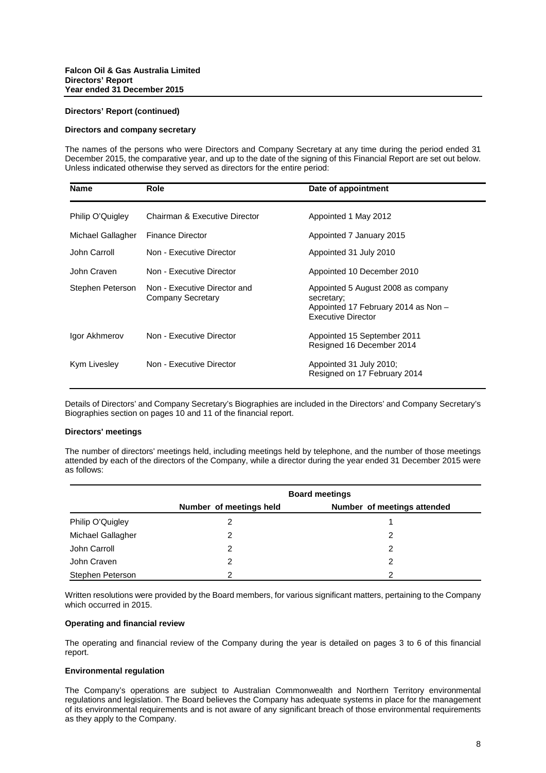#### **Directors' Report (continued)**

#### **Directors and company secretary**

The names of the persons who were Directors and Company Secretary at any time during the period ended 31 December 2015, the comparative year, and up to the date of the signing of this Financial Report are set out below. Unless indicated otherwise they served as directors for the entire period:

| <b>Name</b>       | <b>Role</b>                                       | Date of appointment                                                                                                  |
|-------------------|---------------------------------------------------|----------------------------------------------------------------------------------------------------------------------|
| Philip O'Quigley  | Chairman & Executive Director                     | Appointed 1 May 2012                                                                                                 |
| Michael Gallagher | <b>Finance Director</b>                           | Appointed 7 January 2015                                                                                             |
| John Carroll      | Non - Executive Director                          | Appointed 31 July 2010                                                                                               |
| John Craven       | Non - Executive Director                          | Appointed 10 December 2010                                                                                           |
| Stephen Peterson  | Non - Executive Director and<br>Company Secretary | Appointed 5 August 2008 as company<br>secretary;<br>Appointed 17 February 2014 as Non -<br><b>Executive Director</b> |
| Igor Akhmerov     | Non - Executive Director                          | Appointed 15 September 2011<br>Resigned 16 December 2014                                                             |
| Kym Livesley      | Non - Executive Director                          | Appointed 31 July 2010;<br>Resigned on 17 February 2014                                                              |

Details of Directors' and Company Secretary's Biographies are included in the Directors' and Company Secretary's Biographies section on pages 10 and 11 of the financial report.

#### **Directors' meetings**

The number of directors' meetings held, including meetings held by telephone, and the number of those meetings attended by each of the directors of the Company, while a director during the year ended 31 December 2015 were as follows:

|                   | <b>Board meetings</b>   |                             |  |
|-------------------|-------------------------|-----------------------------|--|
|                   | Number of meetings held | Number of meetings attended |  |
| Philip O'Quigley  | 2                       |                             |  |
| Michael Gallagher | 2                       | 2                           |  |
| John Carroll      | 2                       | 2                           |  |
| John Craven       | 2                       | 2                           |  |
| Stephen Peterson  |                         | 2                           |  |

Written resolutions were provided by the Board members, for various significant matters, pertaining to the Company which occurred in 2015.

#### **Operating and financial review**

The operating and financial review of the Company during the year is detailed on pages 3 to 6 of this financial report.

## **Environmental regulation**

The Company's operations are subject to Australian Commonwealth and Northern Territory environmental regulations and legislation. The Board believes the Company has adequate systems in place for the management of its environmental requirements and is not aware of any significant breach of those environmental requirements as they apply to the Company.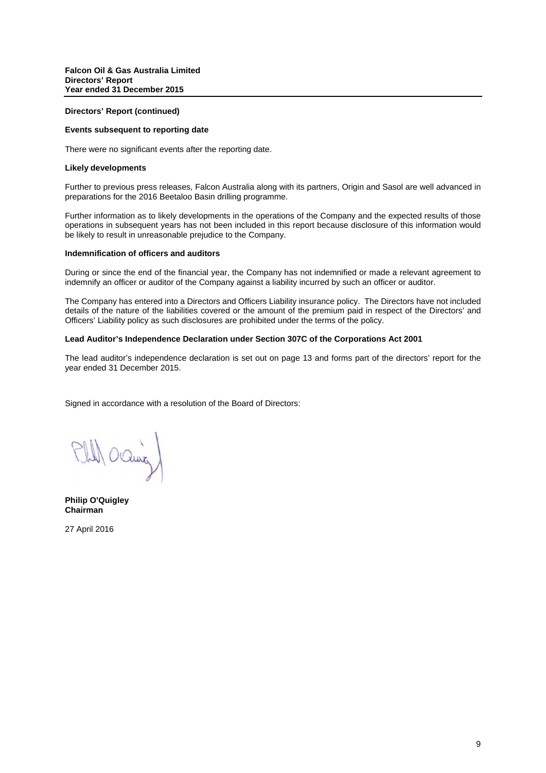#### **Directors' Report (continued)**

#### **Events subsequent to reporting date**

There were no significant events after the reporting date.

#### **Likely developments**

Further to previous press releases, Falcon Australia along with its partners, Origin and Sasol are well advanced in preparations for the 2016 Beetaloo Basin drilling programme.

Further information as to likely developments in the operations of the Company and the expected results of those operations in subsequent years has not been included in this report because disclosure of this information would be likely to result in unreasonable prejudice to the Company.

#### **Indemnification of officers and auditors**

During or since the end of the financial year, the Company has not indemnified or made a relevant agreement to indemnify an officer or auditor of the Company against a liability incurred by such an officer or auditor.

The Company has entered into a Directors and Officers Liability insurance policy. The Directors have not included details of the nature of the liabilities covered or the amount of the premium paid in respect of the Directors' and Officers' Liability policy as such disclosures are prohibited under the terms of the policy.

## **Lead Auditor's Independence Declaration under Section 307C of the Corporations Act 2001**

The lead auditor's independence declaration is set out on page 13 and forms part of the directors' report for the year ended 31 December 2015.

Signed in accordance with a resolution of the Board of Directors:

Flill O'aung

**Philip O'Quigley Chairman**

27 April 2016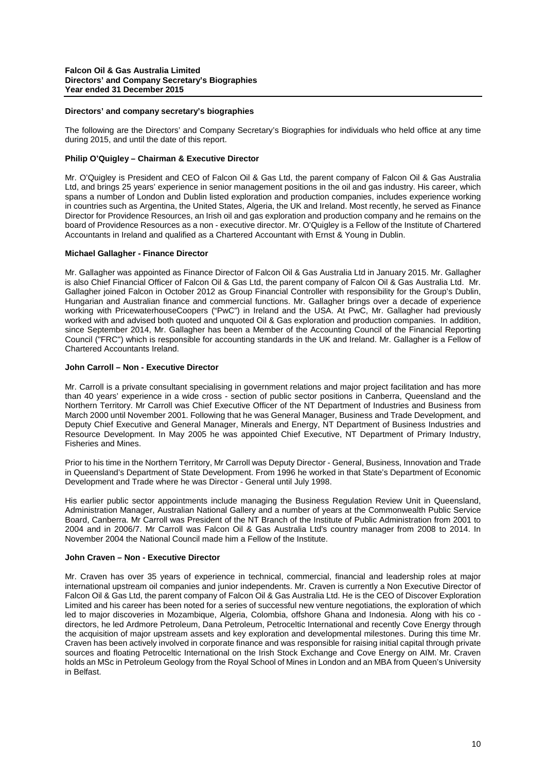#### **Directors' and company secretary's biographies**

The following are the Directors' and Company Secretary's Biographies for individuals who held office at any time during 2015, and until the date of this report.

## **Philip O'Quigley – Chairman & Executive Director**

Mr. O'Quigley is President and CEO of Falcon Oil & Gas Ltd, the parent company of Falcon Oil & Gas Australia Ltd, and brings 25 years' experience in senior management positions in the oil and gas industry. His career, which spans a number of London and Dublin listed exploration and production companies, includes experience working in countries such as Argentina, the United States, Algeria, the UK and Ireland. Most recently, he served as Finance Director for Providence Resources, an Irish oil and gas exploration and production company and he remains on the board of Providence Resources as a non - executive director. Mr. O'Quigley is a Fellow of the Institute of Chartered Accountants in Ireland and qualified as a Chartered Accountant with Ernst & Young in Dublin.

#### **Michael Gallagher - Finance Director**

Mr. Gallagher was appointed as Finance Director of Falcon Oil & Gas Australia Ltd in January 2015. Mr. Gallagher is also Chief Financial Officer of Falcon Oil & Gas Ltd, the parent company of Falcon Oil & Gas Australia Ltd. Mr. Gallagher joined Falcon in October 2012 as Group Financial Controller with responsibility for the Group's Dublin, Hungarian and Australian finance and commercial functions. Mr. Gallagher brings over a decade of experience working with PricewaterhouseCoopers ("PwC") in Ireland and the USA. At PwC, Mr. Gallagher had previously worked with and advised both quoted and unquoted Oil & Gas exploration and production companies. In addition, since September 2014, Mr. Gallagher has been a Member of the Accounting Council of the Financial Reporting Council ("FRC") which is responsible for accounting standards in the UK and Ireland. Mr. Gallagher is a Fellow of Chartered Accountants Ireland.

## **John Carroll – Non - Executive Director**

Mr. Carroll is a private consultant specialising in government relations and major project facilitation and has more than 40 years' experience in a wide cross - section of public sector positions in Canberra, Queensland and the Northern Territory. Mr Carroll was Chief Executive Officer of the NT Department of Industries and Business from March 2000 until November 2001. Following that he was General Manager, Business and Trade Development, and Deputy Chief Executive and General Manager, Minerals and Energy, NT Department of Business Industries and Resource Development. In May 2005 he was appointed Chief Executive, NT Department of Primary Industry, Fisheries and Mines.

Prior to his time in the Northern Territory, Mr Carroll was Deputy Director - General, Business, Innovation and Trade in Queensland's Department of State Development. From 1996 he worked in that State's Department of Economic Development and Trade where he was Director - General until July 1998.

His earlier public sector appointments include managing the Business Regulation Review Unit in Queensland, Administration Manager, Australian National Gallery and a number of years at the Commonwealth Public Service Board, Canberra. Mr Carroll was President of the NT Branch of the Institute of Public Administration from 2001 to 2004 and in 2006/7. Mr Carroll was Falcon Oil & Gas Australia Ltd's country manager from 2008 to 2014. In November 2004 the National Council made him a Fellow of the Institute.

## **John Craven – Non - Executive Director**

Mr. Craven has over 35 years of experience in technical, commercial, financial and leadership roles at major international upstream oil companies and junior independents. Mr. Craven is currently a Non Executive Director of Falcon Oil & Gas Ltd, the parent company of Falcon Oil & Gas Australia Ltd. He is the CEO of Discover Exploration Limited and his career has been noted for a series of successful new venture negotiations, the exploration of which led to major discoveries in Mozambique, Algeria, Colombia, offshore Ghana and Indonesia. Along with his co directors, he led Ardmore Petroleum, Dana Petroleum, Petroceltic International and recently Cove Energy through the acquisition of major upstream assets and key exploration and developmental milestones. During this time Mr. Craven has been actively involved in corporate finance and was responsible for raising initial capital through private sources and floating Petroceltic International on the Irish Stock Exchange and Cove Energy on AIM. Mr. Craven holds an MSc in Petroleum Geology from the Royal School of Mines in London and an MBA from Queen's University in Belfast.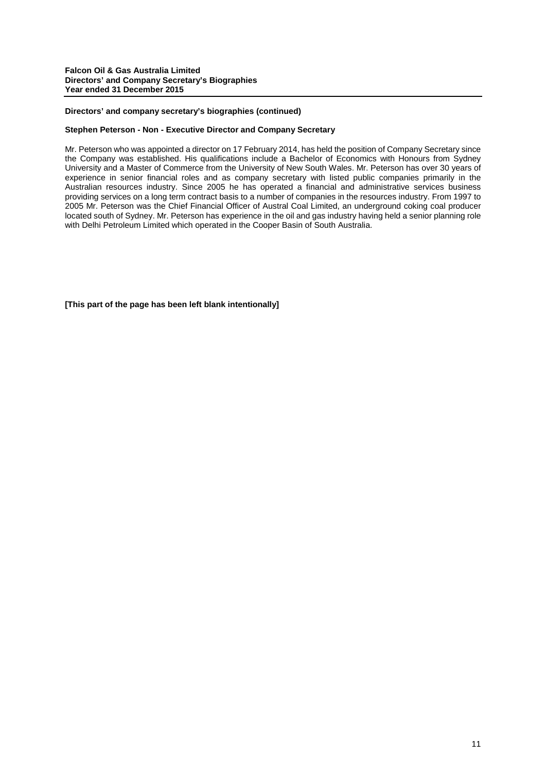## **Directors' and company secretary's biographies (continued)**

## **Stephen Peterson - Non - Executive Director and Company Secretary**

Mr. Peterson who was appointed a director on 17 February 2014, has held the position of Company Secretary since the Company was established. His qualifications include a Bachelor of Economics with Honours from Sydney University and a Master of Commerce from the University of New South Wales. Mr. Peterson has over 30 years of experience in senior financial roles and as company secretary with listed public companies primarily in the Australian resources industry. Since 2005 he has operated a financial and administrative services business providing services on a long term contract basis to a number of companies in the resources industry. From 1997 to 2005 Mr. Peterson was the Chief Financial Officer of Austral Coal Limited, an underground coking coal producer located south of Sydney. Mr. Peterson has experience in the oil and gas industry having held a senior planning role with Delhi Petroleum Limited which operated in the Cooper Basin of South Australia.

**[This part of the page has been left blank intentionally]**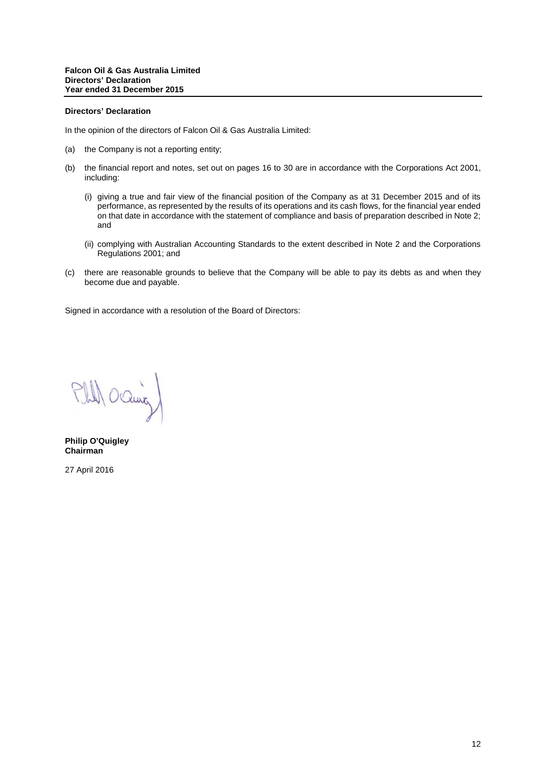#### **Directors' Declaration**

In the opinion of the directors of Falcon Oil & Gas Australia Limited:

- (a) the Company is not a reporting entity;
- (b) the financial report and notes, set out on pages 16 to 30 are in accordance with the Corporations Act 2001, including:
	- (i) giving a true and fair view of the financial position of the Company as at 31 December 2015 and of its performance, as represented by the results of its operations and its cash flows, for the financial year ended on that date in accordance with the statement of compliance and basis of preparation described in Note 2; and
	- (ii) complying with Australian Accounting Standards to the extent described in Note 2 and the Corporations Regulations 2001; and
- (c) there are reasonable grounds to believe that the Company will be able to pay its debts as and when they become due and payable.

Signed in accordance with a resolution of the Board of Directors:

Fill Octunity

**Philip O'Quigley Chairman**

27 April 2016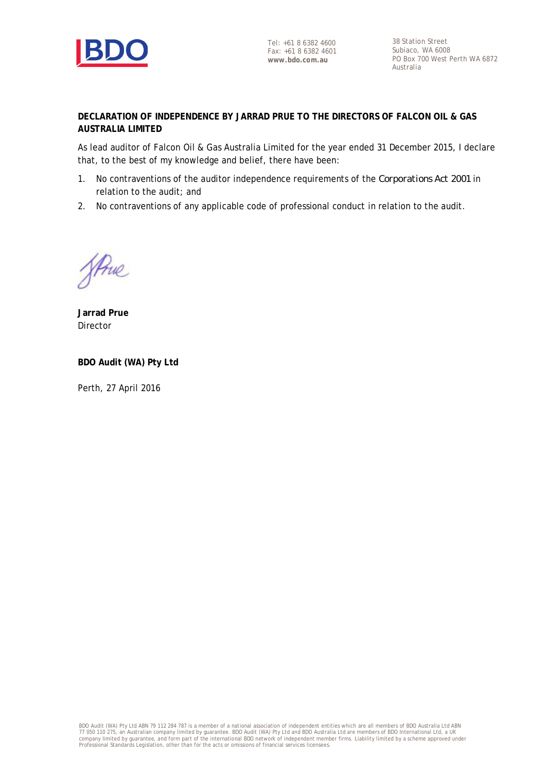

38 Station Street Subiaco, WA 6008 PO Box 700 West Perth WA 6872 Australia

**DECLARATION OF INDEPENDENCE BY JARRAD PRUE TO THE DIRECTORS OF FALCON OIL & GAS AUSTRALIA LIMITED**

As lead auditor of Falcon Oil & Gas Australia Limited for the year ended 31 December 2015, I declare that, to the best of my knowledge and belief, there have been:

- 1. No contraventions of the auditor independence requirements of the *Corporations Act 2001* in relation to the audit; and
- 2. No contraventions of any applicable code of professional conduct in relation to the audit.

Arne

**Jarrad Prue** Director

**BDO Audit (WA) Pty Ltd**

Perth, 27 April 2016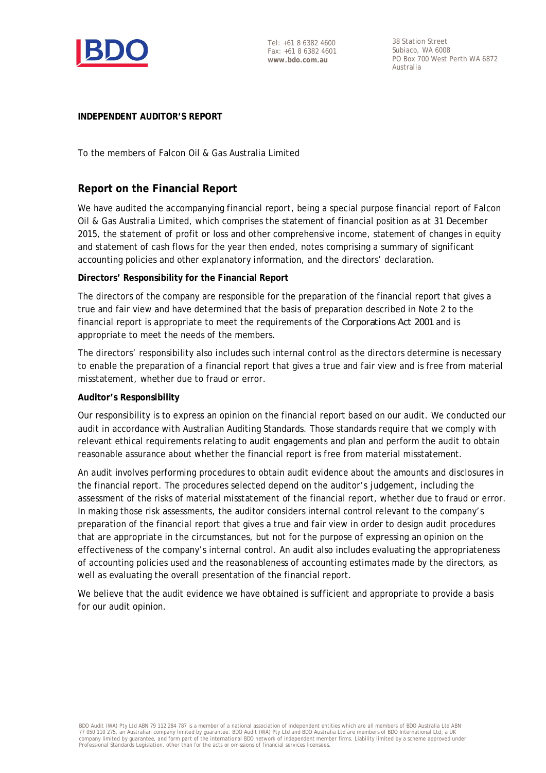

38 Station Street Subiaco, WA 6008 PO Box 700 West Perth WA 6872 Australia

## **INDEPENDENT AUDITOR'S REPORT**

To the members of Falcon Oil & Gas Australia Limited

# **Report on the Financial Report**

We have audited the accompanying financial report, being a special purpose financial report of Falcon Oil & Gas Australia Limited, which comprises the statement of financial position as at 31 December 2015, the statement of profit or loss and other comprehensive income, statement of changes in equity and statement of cash flows for the year then ended, notes comprising a summary of significant accounting policies and other explanatory information, and the directors' declaration.

## **Directors' Responsibility for the Financial Report**

The directors of the company are responsible for the preparation of the financial report that gives a true and fair view and have determined that the basis of preparation described in Note 2 to the financial report is appropriate to meet the requirements of the *Corporations Act 2001* and is appropriate to meet the needs of the members.

The directors' responsibility also includes such internal control as the directors determine is necessary to enable the preparation of a financial report that gives a true and fair view and is free from material misstatement, whether due to fraud or error.

## **Auditor's Responsibility**

Our responsibility is to express an opinion on the financial report based on our audit. We conducted our audit in accordance with Australian Auditing Standards. Those standards require that we comply with relevant ethical requirements relating to audit engagements and plan and perform the audit to obtain reasonable assurance about whether the financial report is free from material misstatement.

An audit involves performing procedures to obtain audit evidence about the amounts and disclosures in the financial report. The procedures selected depend on the auditor's judgement, including the assessment of the risks of material misstatement of the financial report, whether due to fraud or error. In making those risk assessments, the auditor considers internal control relevant to the company's preparation of the financial report that gives a true and fair view in order to design audit procedures that are appropriate in the circumstances, but not for the purpose of expressing an opinion on the effectiveness of the company's internal control. An audit also includes evaluating the appropriateness of accounting policies used and the reasonableness of accounting estimates made by the directors, as well as evaluating the overall presentation of the financial report.

We believe that the audit evidence we have obtained is sufficient and appropriate to provide a basis for our audit opinion.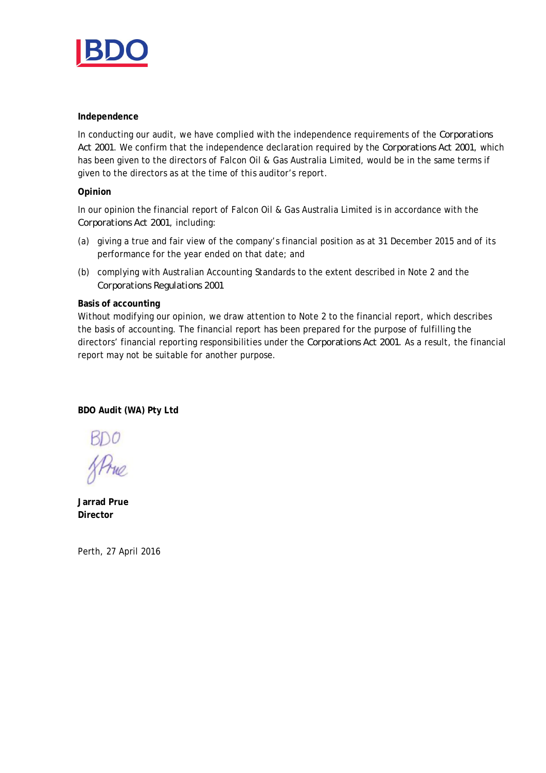

## **Independence**

In conducting our audit, we have complied with the independence requirements of the *Corporations Act 2001*. We confirm that the independence declaration required by the *Corporations Act 2001*, which has been given to the directors of Falcon Oil & Gas Australia Limited, would be in the same terms if given to the directors as at the time of this auditor's report.

## **Opinion**

In our opinion the financial report of Falcon Oil & Gas Australia Limited is in accordance with the *Corporations Act 2001*, including:

- (a) giving a true and fair view of the company's financial position as at 31 December 2015 and of its performance for the year ended on that date; and
- (b) complying with Australian Accounting Standards to the extent described in Note 2 and the *Corporations Regulations 2001*

## **Basis of accounting**

Without modifying our opinion, we draw attention to Note 2 to the financial report, which describes the basis of accounting. The financial report has been prepared for the purpose of fulfilling the directors' financial reporting responsibilities under the *Corporations Act 2001*. As a result, the financial report may not be suitable for another purpose.

## **BDO Audit (WA) Pty Ltd**

**Jarrad Prue Director**

Perth, 27 April 2016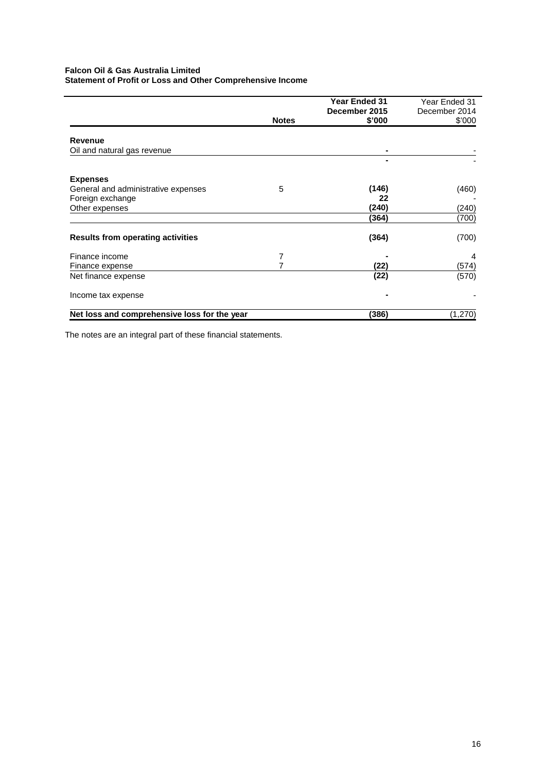## **Falcon Oil & Gas Australia Limited**

**Statement of Profit or Loss and Other Comprehensive Income**

|                                              | <b>Notes</b> | <b>Year Ended 31</b><br>December 2015<br>\$'000 | Year Ended 31<br>December 2014<br>\$'000 |
|----------------------------------------------|--------------|-------------------------------------------------|------------------------------------------|
| <b>Revenue</b>                               |              |                                                 |                                          |
| Oil and natural gas revenue                  |              | ۰                                               |                                          |
|                                              |              | ۰                                               |                                          |
| <b>Expenses</b>                              |              |                                                 |                                          |
| General and administrative expenses          | 5            | (146)                                           | (460)                                    |
| Foreign exchange                             |              | 22                                              |                                          |
| Other expenses                               |              | (240)                                           | (240)                                    |
|                                              |              | (364)                                           | (700)                                    |
| <b>Results from operating activities</b>     |              | (364)                                           | (700)                                    |
| Finance income                               | 7            |                                                 | 4                                        |
| Finance expense                              |              | (22)                                            | (574)                                    |
| Net finance expense                          |              | (22)                                            | (570)                                    |
| Income tax expense                           |              |                                                 |                                          |
| Net loss and comprehensive loss for the year |              | (386)                                           | (1,270)                                  |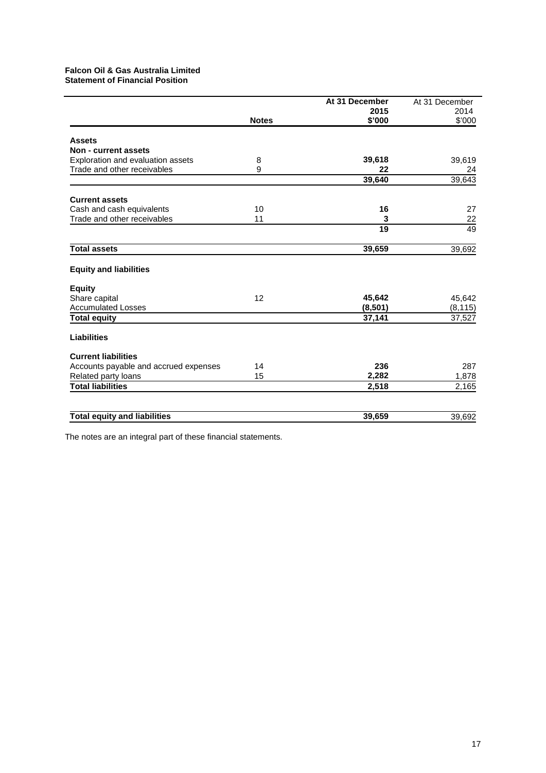## **Falcon Oil & Gas Australia Limited Statement of Financial Position**

|                                       |              | At 31 December | At 31 December |
|---------------------------------------|--------------|----------------|----------------|
|                                       |              | 2015           | 2014           |
|                                       | <b>Notes</b> | \$'000         | \$'000         |
| <b>Assets</b>                         |              |                |                |
| <b>Non - current assets</b>           |              |                |                |
| Exploration and evaluation assets     | 8            | 39,618         | 39,619         |
| Trade and other receivables           | 9            | 22             | 24             |
|                                       |              | 39,640         | 39,643         |
| <b>Current assets</b>                 |              |                |                |
| Cash and cash equivalents             | 10           | 16             | 27             |
| Trade and other receivables           | 11           | 3              | 22             |
|                                       |              | 19             | 49             |
| <b>Total assets</b>                   |              | 39,659         | 39,692         |
| <b>Equity and liabilities</b>         |              |                |                |
| <b>Equity</b>                         |              |                |                |
| Share capital                         | 12           | 45,642         | 45,642         |
| <b>Accumulated Losses</b>             |              | (8, 501)       | (8, 115)       |
| <b>Total equity</b>                   |              | 37,141         | 37,527         |
| <b>Liabilities</b>                    |              |                |                |
| <b>Current liabilities</b>            |              |                |                |
| Accounts payable and accrued expenses | 14           | 236            | 287            |
| Related party loans                   | 15           | 2,282          | 1,878          |
| <b>Total liabilities</b>              |              | 2,518          | 2,165          |
|                                       |              |                |                |
| <b>Total equity and liabilities</b>   |              | 39,659         | 39,692         |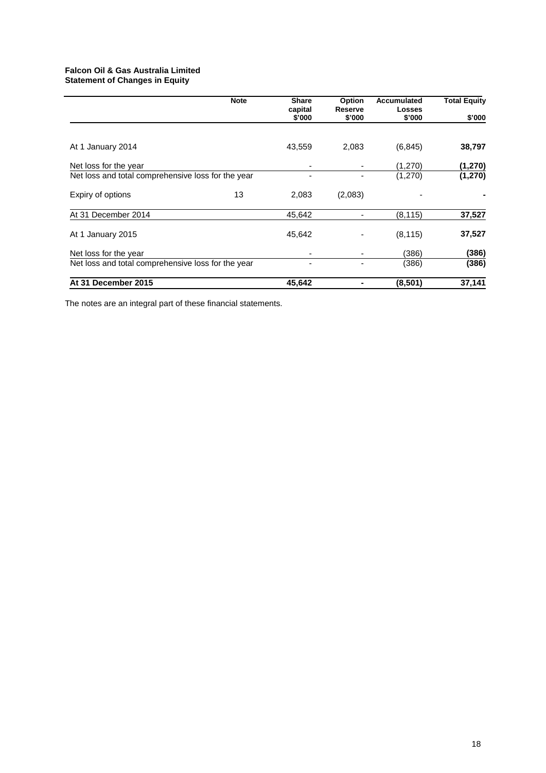## **Falcon Oil & Gas Australia Limited Statement of Changes in Equity**

| <b>Note</b>                                        | <b>Share</b><br>capital | Option<br>Reserve | Accumulated<br><b>Losses</b> | <b>Total Equity</b> |
|----------------------------------------------------|-------------------------|-------------------|------------------------------|---------------------|
|                                                    | \$'000                  | \$'000            | \$'000                       | \$'000              |
| At 1 January 2014                                  | 43,559                  | 2,083             | (6, 845)                     | 38,797              |
| Net loss for the year                              |                         |                   | (1,270)                      | (1, 270)            |
| Net loss and total comprehensive loss for the year | ٠                       |                   | (1,270)                      | (1,270)             |
| 13<br>Expiry of options                            | 2,083                   | (2,083)           |                              |                     |
| At 31 December 2014                                | 45,642                  |                   | (8, 115)                     | 37,527              |
| At 1 January 2015                                  | 45,642                  |                   | (8, 115)                     | 37,527              |
| Net loss for the year                              |                         |                   | (386)                        | (386)               |
| Net loss and total comprehensive loss for the year |                         |                   | (386)                        | (386)               |
| At 31 December 2015                                | 45,642                  |                   | (8,501)                      | 37,141              |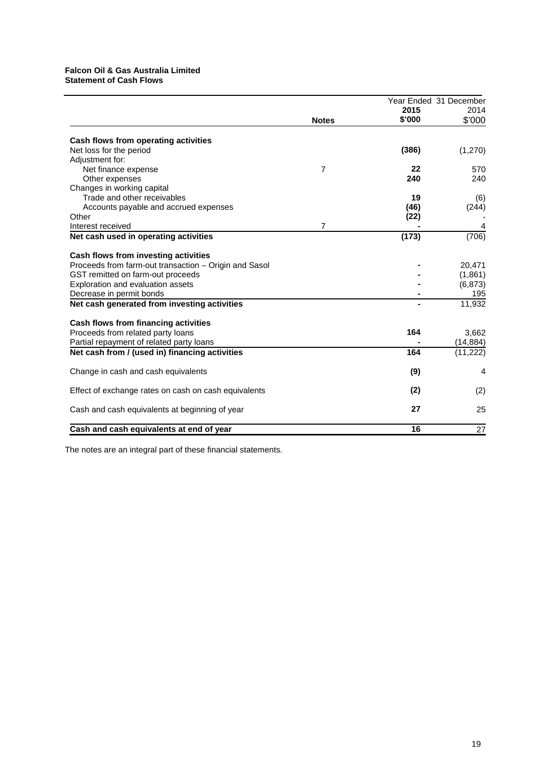## **Falcon Oil & Gas Australia Limited Statement of Cash Flows**

|                                                       |                | Year Ended 31 December |           |
|-------------------------------------------------------|----------------|------------------------|-----------|
|                                                       |                | 2015                   | 2014      |
|                                                       | <b>Notes</b>   | \$'000                 | \$'000    |
| Cash flows from operating activities                  |                |                        |           |
| Net loss for the period                               |                | (386)                  | (1,270)   |
| Adjustment for:                                       |                |                        |           |
| Net finance expense                                   | $\overline{7}$ | 22                     | 570       |
| Other expenses                                        |                | 240                    | 240       |
| Changes in working capital                            |                |                        |           |
| Trade and other receivables                           |                | 19                     | (6)       |
| Accounts payable and accrued expenses                 |                | (46)                   | (244)     |
| Other                                                 |                | (22)                   |           |
| Interest received                                     | $\overline{7}$ |                        | 4         |
| Net cash used in operating activities                 |                | (173)                  | (706)     |
| Cash flows from investing activities                  |                |                        |           |
| Proceeds from farm-out transaction - Origin and Sasol |                |                        | 20.471    |
| GST remitted on farm-out proceeds                     |                |                        | (1,861)   |
| Exploration and evaluation assets                     |                |                        | (6, 873)  |
| Decrease in permit bonds                              |                |                        | 195       |
| Net cash generated from investing activities          |                |                        | 11,932    |
| Cash flows from financing activities                  |                |                        |           |
| Proceeds from related party loans                     |                | 164                    | 3,662     |
| Partial repayment of related party loans              |                |                        | (14, 884) |
| Net cash from / (used in) financing activities        |                | 164                    | (11,222)  |
| Change in cash and cash equivalents                   |                | (9)                    | 4         |
| Effect of exchange rates on cash on cash equivalents  |                | (2)                    | (2)       |
| Cash and cash equivalents at beginning of year        |                | 27                     | 25        |
| Cash and cash equivalents at end of year              |                | 16                     | 27        |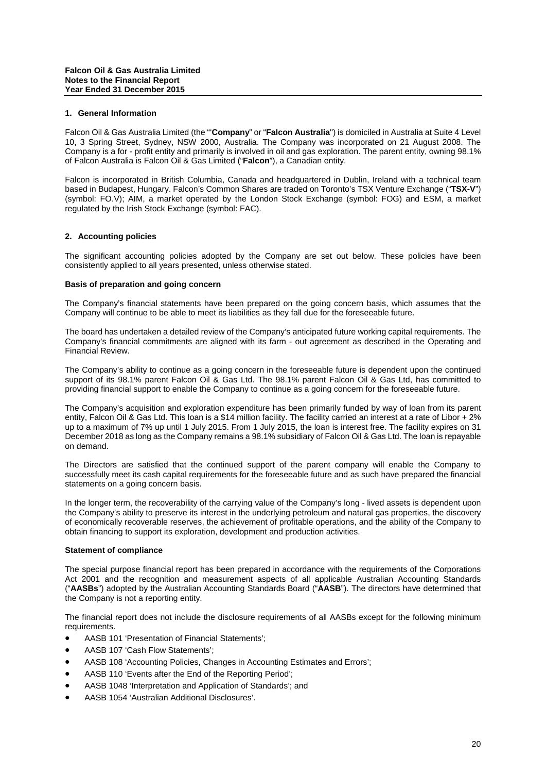## **1. General Information**

Falcon Oil & Gas Australia Limited (the "'**Company**" or "**Falcon Australia**") is domiciled in Australia at Suite 4 Level 10, 3 Spring Street, Sydney, NSW 2000, Australia. The Company was incorporated on 21 August 2008. The Company is a for - profit entity and primarily is involved in oil and gas exploration. The parent entity, owning 98.1% of Falcon Australia is Falcon Oil & Gas Limited ("**Falcon**"), a Canadian entity.

Falcon is incorporated in British Columbia, Canada and headquartered in Dublin, Ireland with a technical team based in Budapest, Hungary. Falcon's Common Shares are traded on Toronto's TSX Venture Exchange ("**TSX-V**") (symbol: FO.V); AIM, a market operated by the London Stock Exchange (symbol: FOG) and ESM, a market regulated by the Irish Stock Exchange (symbol: FAC).

## **2. Accounting policies**

The significant accounting policies adopted by the Company are set out below. These policies have been consistently applied to all years presented, unless otherwise stated.

#### **Basis of preparation and going concern**

The Company's financial statements have been prepared on the going concern basis, which assumes that the Company will continue to be able to meet its liabilities as they fall due for the foreseeable future.

The board has undertaken a detailed review of the Company's anticipated future working capital requirements. The Company's financial commitments are aligned with its farm - out agreement as described in the Operating and Financial Review.

The Company's ability to continue as a going concern in the foreseeable future is dependent upon the continued support of its 98.1% parent Falcon Oil & Gas Ltd. The 98.1% parent Falcon Oil & Gas Ltd, has committed to providing financial support to enable the Company to continue as a going concern for the foreseeable future.

The Company's acquisition and exploration expenditure has been primarily funded by way of loan from its parent entity, Falcon Oil & Gas Ltd. This loan is a \$14 million facility. The facility carried an interest at a rate of Libor + 2% up to a maximum of 7% up until 1 July 2015. From 1 July 2015, the loan is interest free. The facility expires on 31 December 2018 as long as the Company remains a 98.1% subsidiary of Falcon Oil & Gas Ltd. The loan is repayable on demand.

The Directors are satisfied that the continued support of the parent company will enable the Company to successfully meet its cash capital requirements for the foreseeable future and as such have prepared the financial statements on a going concern basis.

In the longer term, the recoverability of the carrying value of the Company's long - lived assets is dependent upon the Company's ability to preserve its interest in the underlying petroleum and natural gas properties, the discovery of economically recoverable reserves, the achievement of profitable operations, and the ability of the Company to obtain financing to support its exploration, development and production activities.

#### **Statement of compliance**

The special purpose financial report has been prepared in accordance with the requirements of the Corporations Act 2001 and the recognition and measurement aspects of all applicable Australian Accounting Standards ("**AASBs**") adopted by the Australian Accounting Standards Board ("**AASB**"). The directors have determined that the Company is not a reporting entity.

The financial report does not include the disclosure requirements of all AASBs except for the following minimum requirements.

- AASB 101 'Presentation of Financial Statements';
- AASB 107 'Cash Flow Statements';
- AASB 108 'Accounting Policies, Changes in Accounting Estimates and Errors';
- AASB 110 'Events after the End of the Reporting Period';
- AASB 1048 'Interpretation and Application of Standards'; and
- AASB 1054 'Australian Additional Disclosures'.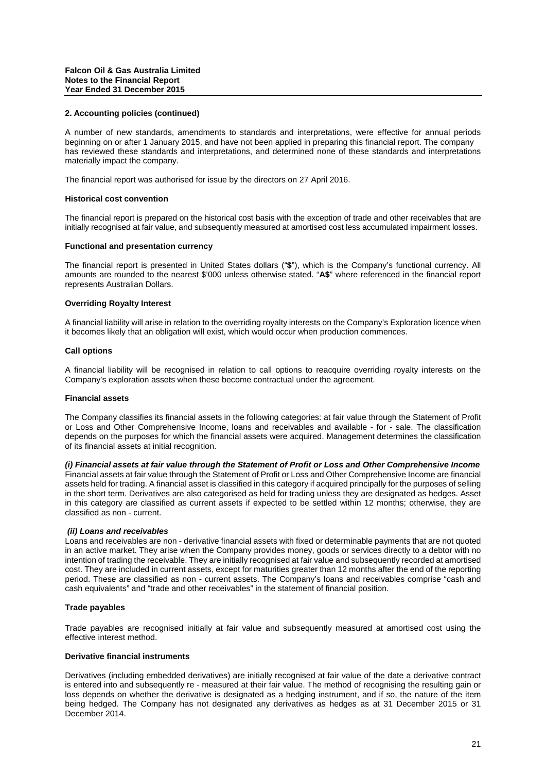A number of new standards, amendments to standards and interpretations, were effective for annual periods beginning on or after 1 January 2015, and have not been applied in preparing this financial report. The company has reviewed these standards and interpretations, and determined none of these standards and interpretations materially impact the company.

The financial report was authorised for issue by the directors on 27 April 2016.

#### **Historical cost convention**

The financial report is prepared on the historical cost basis with the exception of trade and other receivables that are initially recognised at fair value, and subsequently measured at amortised cost less accumulated impairment losses.

## **Functional and presentation currency**

The financial report is presented in United States dollars ("**\$**"), which is the Company's functional currency. All amounts are rounded to the nearest \$'000 unless otherwise stated. "**A\$**" where referenced in the financial report represents Australian Dollars.

#### **Overriding Royalty Interest**

A financial liability will arise in relation to the overriding royalty interests on the Company's Exploration licence when it becomes likely that an obligation will exist, which would occur when production commences.

#### **Call options**

A financial liability will be recognised in relation to call options to reacquire overriding royalty interests on the Company's exploration assets when these become contractual under the agreement.

## **Financial assets**

The Company classifies its financial assets in the following categories: at fair value through the Statement of Profit or Loss and Other Comprehensive Income, loans and receivables and available - for - sale. The classification depends on the purposes for which the financial assets were acquired. Management determines the classification of its financial assets at initial recognition.

*(i) Financial assets at fair value through the Statement of Profit or Loss and Other Comprehensive Income* Financial assets at fair value through the Statement of Profit or Loss and Other Comprehensive Income are financial assets held for trading. A financial asset is classified in this category if acquired principally for the purposes of selling in the short term. Derivatives are also categorised as held for trading unless they are designated as hedges. Asset in this category are classified as current assets if expected to be settled within 12 months; otherwise, they are classified as non - current.

## *(ii) Loans and receivables*

Loans and receivables are non - derivative financial assets with fixed or determinable payments that are not quoted in an active market. They arise when the Company provides money, goods or services directly to a debtor with no intention of trading the receivable. They are initially recognised at fair value and subsequently recorded at amortised cost. They are included in current assets, except for maturities greater than 12 months after the end of the reporting period. These are classified as non - current assets. The Company's loans and receivables comprise "cash and cash equivalents" and "trade and other receivables" in the statement of financial position.

## **Trade payables**

Trade payables are recognised initially at fair value and subsequently measured at amortised cost using the effective interest method.

#### **Derivative financial instruments**

Derivatives (including embedded derivatives) are initially recognised at fair value of the date a derivative contract is entered into and subsequently re - measured at their fair value. The method of recognising the resulting gain or loss depends on whether the derivative is designated as a hedging instrument, and if so, the nature of the item being hedged. The Company has not designated any derivatives as hedges as at 31 December 2015 or 31 December 2014.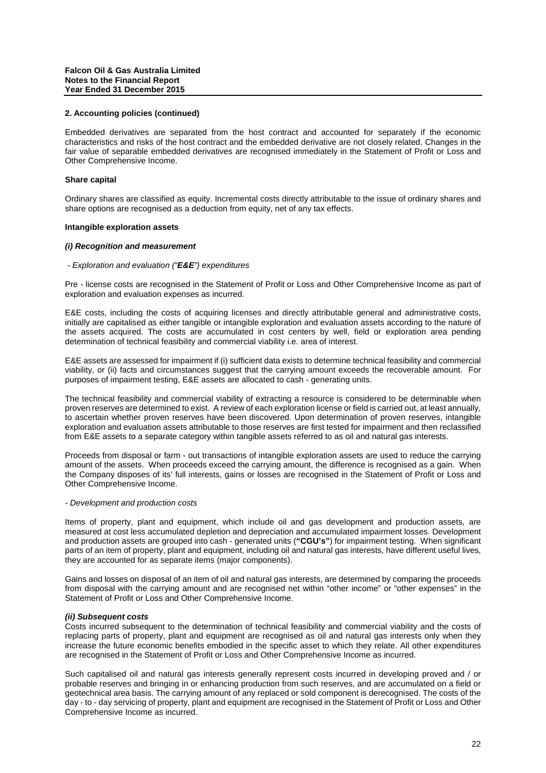Embedded derivatives are separated from the host contract and accounted for separately if the economic characteristics and risks of the host contract and the embedded derivative are not closely related. Changes in the fair value of separable embedded derivatives are recognised immediately in the Statement of Profit or Loss and Other Comprehensive Income.

#### **Share capital**

Ordinary shares are classified as equity. Incremental costs directly attributable to the issue of ordinary shares and share options are recognised as a deduction from equity, net of any tax effects.

#### **Intangible exploration assets**

#### *(i) Recognition and measurement*

## *- Exploration and evaluation ("E&E") expenditures*

Pre - license costs are recognised in the Statement of Profit or Loss and Other Comprehensive Income as part of exploration and evaluation expenses as incurred.

E&E costs, including the costs of acquiring licenses and directly attributable general and administrative costs, initially are capitalised as either tangible or intangible exploration and evaluation assets according to the nature of the assets acquired. The costs are accumulated in cost centers by well, field or exploration area pending determination of technical feasibility and commercial viability i.e. area of interest.

E&E assets are assessed for impairment if (i) sufficient data exists to determine technical feasibility and commercial viability, or (ii) facts and circumstances suggest that the carrying amount exceeds the recoverable amount. For purposes of impairment testing, E&E assets are allocated to cash - generating units.

The technical feasibility and commercial viability of extracting a resource is considered to be determinable when proven reserves are determined to exist. A review of each exploration license or field is carried out, at least annually, to ascertain whether proven reserves have been discovered. Upon determination of proven reserves, intangible exploration and evaluation assets attributable to those reserves are first tested for impairment and then reclassified from E&E assets to a separate category within tangible assets referred to as oil and natural gas interests.

Proceeds from disposal or farm - out transactions of intangible exploration assets are used to reduce the carrying amount of the assets. When proceeds exceed the carrying amount, the difference is recognised as a gain. When the Company disposes of its' full interests, gains or losses are recognised in the Statement of Profit or Loss and Other Comprehensive Income.

#### *- Development and production costs*

Items of property, plant and equipment, which include oil and gas development and production assets, are measured at cost less accumulated depletion and depreciation and accumulated impairment losses. Development and production assets are grouped into cash - generated units (**"CGU's"**) for impairment testing. When significant parts of an item of property, plant and equipment, including oil and natural gas interests, have different useful lives, they are accounted for as separate items (major components).

Gains and losses on disposal of an item of oil and natural gas interests, are determined by comparing the proceeds from disposal with the carrying amount and are recognised net within "other income" or "other expenses" in the Statement of Profit or Loss and Other Comprehensive Income.

## *(ii) Subsequent costs*

Costs incurred subsequent to the determination of technical feasibility and commercial viability and the costs of replacing parts of property, plant and equipment are recognised as oil and natural gas interests only when they increase the future economic benefits embodied in the specific asset to which they relate. All other expenditures are recognised in the Statement of Profit or Loss and Other Comprehensive Income as incurred.

Such capitalised oil and natural gas interests generally represent costs incurred in developing proved and / or probable reserves and bringing in or enhancing production from such reserves, and are accumulated on a field or geotechnical area basis. The carrying amount of any replaced or sold component is derecognised. The costs of the day - to - day servicing of property, plant and equipment are recognised in the Statement of Profit or Loss and Other Comprehensive Income as incurred.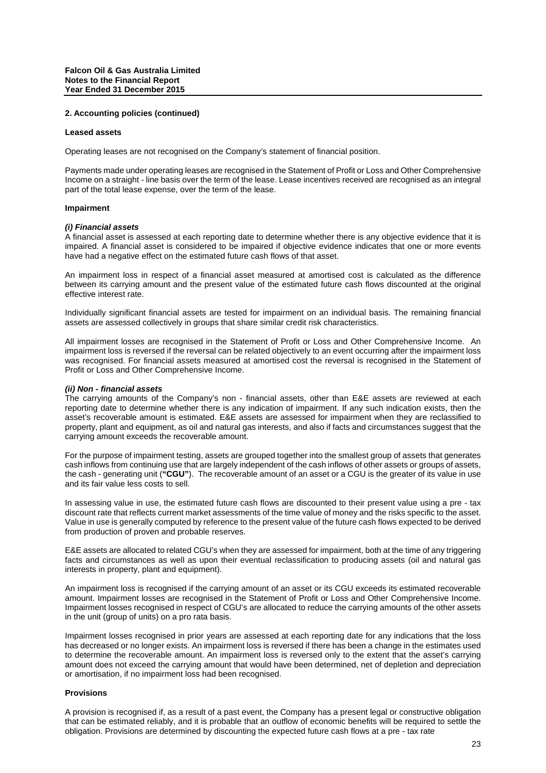#### **Leased assets**

Operating leases are not recognised on the Company's statement of financial position.

Payments made under operating leases are recognised in the Statement of Profit or Loss and Other Comprehensive Income on a straight - line basis over the term of the lease. Lease incentives received are recognised as an integral part of the total lease expense, over the term of the lease.

#### **Impairment**

#### *(i) Financial assets*

A financial asset is assessed at each reporting date to determine whether there is any objective evidence that it is impaired. A financial asset is considered to be impaired if objective evidence indicates that one or more events have had a negative effect on the estimated future cash flows of that asset.

An impairment loss in respect of a financial asset measured at amortised cost is calculated as the difference between its carrying amount and the present value of the estimated future cash flows discounted at the original effective interest rate.

Individually significant financial assets are tested for impairment on an individual basis. The remaining financial assets are assessed collectively in groups that share similar credit risk characteristics.

All impairment losses are recognised in the Statement of Profit or Loss and Other Comprehensive Income. An impairment loss is reversed if the reversal can be related objectively to an event occurring after the impairment loss was recognised. For financial assets measured at amortised cost the reversal is recognised in the Statement of Profit or Loss and Other Comprehensive Income.

#### *(ii) Non - financial assets*

The carrying amounts of the Company's non - financial assets, other than E&E assets are reviewed at each reporting date to determine whether there is any indication of impairment. If any such indication exists, then the asset's recoverable amount is estimated. E&E assets are assessed for impairment when they are reclassified to property, plant and equipment, as oil and natural gas interests, and also if facts and circumstances suggest that the carrying amount exceeds the recoverable amount.

For the purpose of impairment testing, assets are grouped together into the smallest group of assets that generates cash inflows from continuing use that are largely independent of the cash inflows of other assets or groups of assets, the cash - generating unit (**"CGU"**). The recoverable amount of an asset or a CGU is the greater of its value in use and its fair value less costs to sell.

In assessing value in use, the estimated future cash flows are discounted to their present value using a pre - tax discount rate that reflects current market assessments of the time value of money and the risks specific to the asset. Value in use is generally computed by reference to the present value of the future cash flows expected to be derived from production of proven and probable reserves.

E&E assets are allocated to related CGU's when they are assessed for impairment, both at the time of any triggering facts and circumstances as well as upon their eventual reclassification to producing assets (oil and natural gas interests in property, plant and equipment).

An impairment loss is recognised if the carrying amount of an asset or its CGU exceeds its estimated recoverable amount. Impairment losses are recognised in the Statement of Profit or Loss and Other Comprehensive Income. Impairment losses recognised in respect of CGU's are allocated to reduce the carrying amounts of the other assets in the unit (group of units) on a pro rata basis.

Impairment losses recognised in prior years are assessed at each reporting date for any indications that the loss has decreased or no longer exists. An impairment loss is reversed if there has been a change in the estimates used to determine the recoverable amount. An impairment loss is reversed only to the extent that the asset's carrying amount does not exceed the carrying amount that would have been determined, net of depletion and depreciation or amortisation, if no impairment loss had been recognised.

#### **Provisions**

A provision is recognised if, as a result of a past event, the Company has a present legal or constructive obligation that can be estimated reliably, and it is probable that an outflow of economic benefits will be required to settle the obligation. Provisions are determined by discounting the expected future cash flows at a pre - tax rate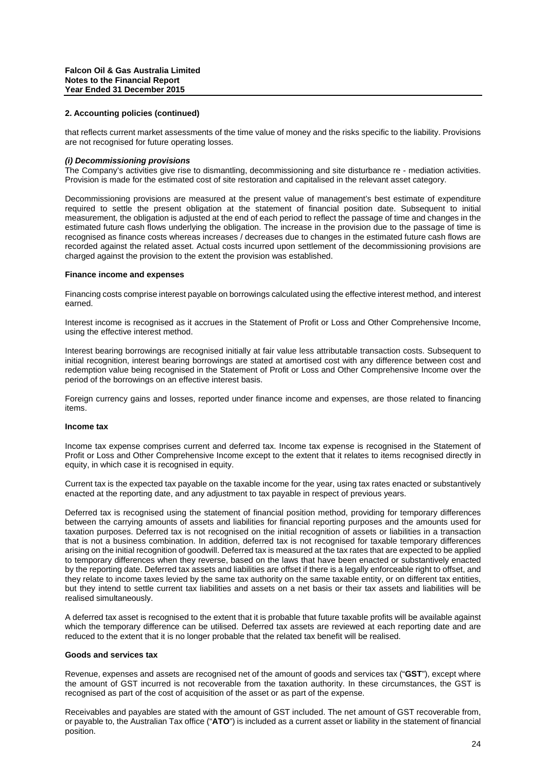that reflects current market assessments of the time value of money and the risks specific to the liability. Provisions are not recognised for future operating losses.

## *(i) Decommissioning provisions*

The Company's activities give rise to dismantling, decommissioning and site disturbance re - mediation activities. Provision is made for the estimated cost of site restoration and capitalised in the relevant asset category.

Decommissioning provisions are measured at the present value of management's best estimate of expenditure required to settle the present obligation at the statement of financial position date. Subsequent to initial measurement, the obligation is adjusted at the end of each period to reflect the passage of time and changes in the estimated future cash flows underlying the obligation. The increase in the provision due to the passage of time is recognised as finance costs whereas increases / decreases due to changes in the estimated future cash flows are recorded against the related asset. Actual costs incurred upon settlement of the decommissioning provisions are charged against the provision to the extent the provision was established.

#### **Finance income and expenses**

Financing costs comprise interest payable on borrowings calculated using the effective interest method, and interest earned.

Interest income is recognised as it accrues in the Statement of Profit or Loss and Other Comprehensive Income, using the effective interest method.

Interest bearing borrowings are recognised initially at fair value less attributable transaction costs. Subsequent to initial recognition, interest bearing borrowings are stated at amortised cost with any difference between cost and redemption value being recognised in the Statement of Profit or Loss and Other Comprehensive Income over the period of the borrowings on an effective interest basis.

Foreign currency gains and losses, reported under finance income and expenses, are those related to financing items.

## **Income tax**

Income tax expense comprises current and deferred tax. Income tax expense is recognised in the Statement of Profit or Loss and Other Comprehensive Income except to the extent that it relates to items recognised directly in equity, in which case it is recognised in equity.

Current tax is the expected tax payable on the taxable income for the year, using tax rates enacted or substantively enacted at the reporting date, and any adjustment to tax payable in respect of previous years.

Deferred tax is recognised using the statement of financial position method, providing for temporary differences between the carrying amounts of assets and liabilities for financial reporting purposes and the amounts used for taxation purposes. Deferred tax is not recognised on the initial recognition of assets or liabilities in a transaction that is not a business combination. In addition, deferred tax is not recognised for taxable temporary differences arising on the initial recognition of goodwill. Deferred tax is measured at the tax rates that are expected to be applied to temporary differences when they reverse, based on the laws that have been enacted or substantively enacted by the reporting date. Deferred tax assets and liabilities are offset if there is a legally enforceable right to offset, and they relate to income taxes levied by the same tax authority on the same taxable entity, or on different tax entities, but they intend to settle current tax liabilities and assets on a net basis or their tax assets and liabilities will be realised simultaneously.

A deferred tax asset is recognised to the extent that it is probable that future taxable profits will be available against which the temporary difference can be utilised. Deferred tax assets are reviewed at each reporting date and are reduced to the extent that it is no longer probable that the related tax benefit will be realised.

#### **Goods and services tax**

Revenue, expenses and assets are recognised net of the amount of goods and services tax ("**GST**"), except where the amount of GST incurred is not recoverable from the taxation authority. In these circumstances, the GST is recognised as part of the cost of acquisition of the asset or as part of the expense.

Receivables and payables are stated with the amount of GST included. The net amount of GST recoverable from, or payable to, the Australian Tax office ("**ATO**") is included as a current asset or liability in the statement of financial position.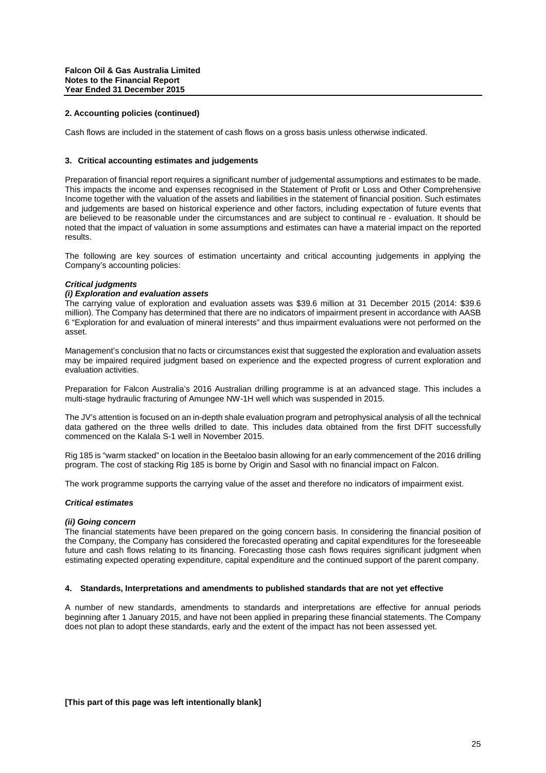Cash flows are included in the statement of cash flows on a gross basis unless otherwise indicated.

#### **3. Critical accounting estimates and judgements**

Preparation of financial report requires a significant number of judgemental assumptions and estimates to be made. This impacts the income and expenses recognised in the Statement of Profit or Loss and Other Comprehensive Income together with the valuation of the assets and liabilities in the statement of financial position. Such estimates and judgements are based on historical experience and other factors, including expectation of future events that are believed to be reasonable under the circumstances and are subject to continual re - evaluation. It should be noted that the impact of valuation in some assumptions and estimates can have a material impact on the reported results.

The following are key sources of estimation uncertainty and critical accounting judgements in applying the Company's accounting policies:

#### *Critical judgments*

#### *(i) Exploration and evaluation assets*

The carrying value of exploration and evaluation assets was \$39.6 million at 31 December 2015 (2014: \$39.6 million). The Company has determined that there are no indicators of impairment present in accordance with AASB 6 "Exploration for and evaluation of mineral interests" and thus impairment evaluations were not performed on the asset.

Management's conclusion that no facts or circumstances exist that suggested the exploration and evaluation assets may be impaired required judgment based on experience and the expected progress of current exploration and evaluation activities.

Preparation for Falcon Australia's 2016 Australian drilling programme is at an advanced stage. This includes a multi-stage hydraulic fracturing of Amungee NW-1H well which was suspended in 2015.

The JV's attention is focused on an in-depth shale evaluation program and petrophysical analysis of all the technical data gathered on the three wells drilled to date. This includes data obtained from the first DFIT successfully commenced on the Kalala S-1 well in November 2015.

Rig 185 is "warm stacked" on location in the Beetaloo basin allowing for an early commencement of the 2016 drilling program. The cost of stacking Rig 185 is borne by Origin and Sasol with no financial impact on Falcon.

The work programme supports the carrying value of the asset and therefore no indicators of impairment exist.

#### *Critical estimates*

#### *(ii) Going concern*

The financial statements have been prepared on the going concern basis. In considering the financial position of the Company, the Company has considered the forecasted operating and capital expenditures for the foreseeable future and cash flows relating to its financing. Forecasting those cash flows requires significant judgment when estimating expected operating expenditure, capital expenditure and the continued support of the parent company.

## **4. Standards, Interpretations and amendments to published standards that are not yet effective**

A number of new standards, amendments to standards and interpretations are effective for annual periods beginning after 1 January 2015, and have not been applied in preparing these financial statements. The Company does not plan to adopt these standards, early and the extent of the impact has not been assessed yet.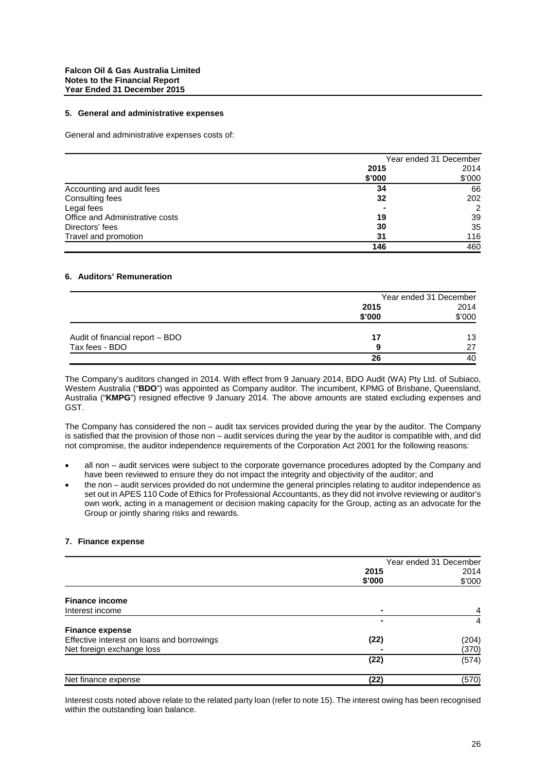#### **5. General and administrative expenses**

General and administrative expenses costs of:

|                                 | Year ended 31 December |        |
|---------------------------------|------------------------|--------|
|                                 | 2015                   | 2014   |
|                                 | \$'000                 | \$'000 |
| Accounting and audit fees       | 34                     | 66     |
| Consulting fees                 | 32                     | 202    |
| Legal fees                      |                        | 2      |
| Office and Administrative costs | 19                     | 39     |
| Directors' fees                 | 30                     | 35     |
| Travel and promotion            | 31                     | 116    |
|                                 | 146                    | 460    |

## **6. Auditors' Remuneration**

|                                 | Year ended 31 December |        |
|---------------------------------|------------------------|--------|
|                                 | 2015                   | 2014   |
|                                 | \$'000                 | \$'000 |
| Audit of financial report - BDO | 17                     | 13     |
| Tax fees - BDO                  | 9                      | 27     |
|                                 | 26                     | 40     |

The Company's auditors changed in 2014. With effect from 9 January 2014, BDO Audit (WA) Pty Ltd. of Subiaco, Western Australia ("**BDO**") was appointed as Company auditor. The incumbent, KPMG of Brisbane, Queensland, Australia ("**KMPG**") resigned effective 9 January 2014. The above amounts are stated excluding expenses and GST.

The Company has considered the non – audit tax services provided during the year by the auditor. The Company is satisfied that the provision of those non – audit services during the year by the auditor is compatible with, and did not compromise, the auditor independence requirements of the Corporation Act 2001 for the following reasons:

- all non audit services were subject to the corporate governance procedures adopted by the Company and have been reviewed to ensure they do not impact the integrity and objectivity of the auditor; and
- the non audit services provided do not undermine the general principles relating to auditor independence as set out in APES 110 Code of Ethics for Professional Accountants, as they did not involve reviewing or auditor's own work, acting in a management or decision making capacity for the Group, acting as an advocate for the Group or jointly sharing risks and rewards.

## **7. Finance expense**

|                                            | Year ended 31 December |        |
|--------------------------------------------|------------------------|--------|
|                                            | 2015                   | 2014   |
|                                            | \$'000                 | \$'000 |
| <b>Finance income</b>                      |                        |        |
| Interest income                            |                        | 4      |
|                                            | ۰                      | 4      |
| <b>Finance expense</b>                     |                        |        |
| Effective interest on loans and borrowings | (22)                   | (204)  |
| Net foreign exchange loss                  |                        | (370)  |
|                                            | (22)                   | (574)  |
| Net finance expense                        | (22)                   | (570)  |

Interest costs noted above relate to the related party loan (refer to note 15). The interest owing has been recognised within the outstanding loan balance.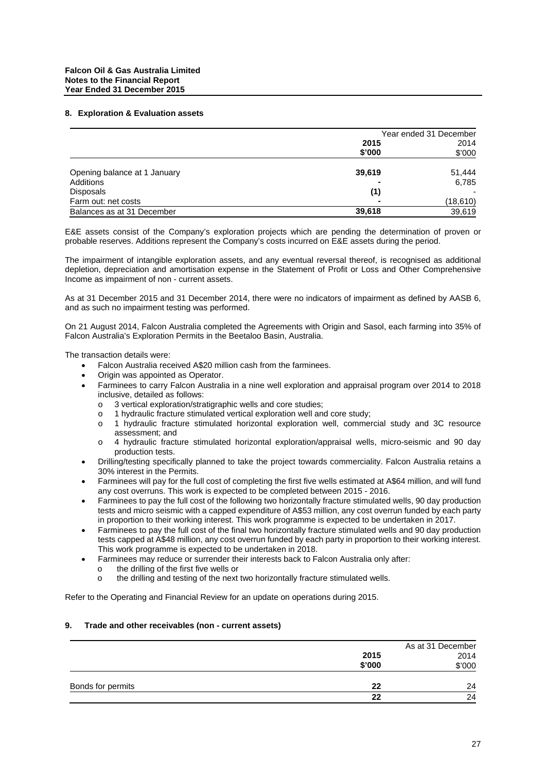## **8. Exploration & Evaluation assets**

|                              | Year ended 31 December |           |
|------------------------------|------------------------|-----------|
|                              | 2015                   | 2014      |
|                              | \$'000                 | \$'000    |
| Opening balance at 1 January | 39,619                 | 51.444    |
| Additions                    |                        | 6,785     |
| Disposals                    | (1)                    |           |
| Farm out: net costs          | $\blacksquare$         | (18, 610) |
| Balances as at 31 December   | 39,618                 | 39,619    |

E&E assets consist of the Company's exploration projects which are pending the determination of proven or probable reserves. Additions represent the Company's costs incurred on E&E assets during the period.

The impairment of intangible exploration assets, and any eventual reversal thereof, is recognised as additional depletion, depreciation and amortisation expense in the Statement of Profit or Loss and Other Comprehensive Income as impairment of non - current assets.

As at 31 December 2015 and 31 December 2014, there were no indicators of impairment as defined by AASB 6, and as such no impairment testing was performed.

On 21 August 2014, Falcon Australia completed the Agreements with Origin and Sasol, each farming into 35% of Falcon Australia's Exploration Permits in the Beetaloo Basin, Australia.

The transaction details were:

- Falcon Australia received A\$20 million cash from the farminees.
- Origin was appointed as Operator.
- Farminees to carry Falcon Australia in a nine well exploration and appraisal program over 2014 to 2018 inclusive, detailed as follows:<br>
o 3 vertical exploration/stra
	- o 3 vertical exploration/stratigraphic wells and core studies;<br>o 1 hydraulic fracture stimulated vertical exploration well an
	- 1 hydraulic fracture stimulated vertical exploration well and core study;
	- o 1 hydraulic fracture stimulated horizontal exploration well, commercial study and 3C resource assessment; and
	- o 4 hydraulic fracture stimulated horizontal exploration/appraisal wells, micro-seismic and 90 day production tests.
- Drilling/testing specifically planned to take the project towards commerciality. Falcon Australia retains a 30% interest in the Permits.
- Farminees will pay for the full cost of completing the first five wells estimated at A\$64 million, and will fund any cost overruns. This work is expected to be completed between 2015 - 2016.
- Farminees to pay the full cost of the following two horizontally fracture stimulated wells, 90 day production tests and micro seismic with a capped expenditure of A\$53 million, any cost overrun funded by each party in proportion to their working interest. This work programme is expected to be undertaken in 2017.
- Farminees to pay the full cost of the final two horizontally fracture stimulated wells and 90 day production tests capped at A\$48 million, any cost overrun funded by each party in proportion to their working interest. This work programme is expected to be undertaken in 2018.
- Farminees may reduce or surrender their interests back to Falcon Australia only after:
	- $\circ$  the drilling of the first five wells or  $\circ$  the drilling and testing of the next
	- the drilling and testing of the next two horizontally fracture stimulated wells.

Refer to the Operating and Financial Review for an update on operations during 2015.

## **9. Trade and other receivables (non - current assets)**

|                   | 22     | 24                |
|-------------------|--------|-------------------|
| Bonds for permits | 22     | 24                |
|                   | \$'000 | \$'000            |
|                   | 2015   | 2014              |
|                   |        | As at 31 December |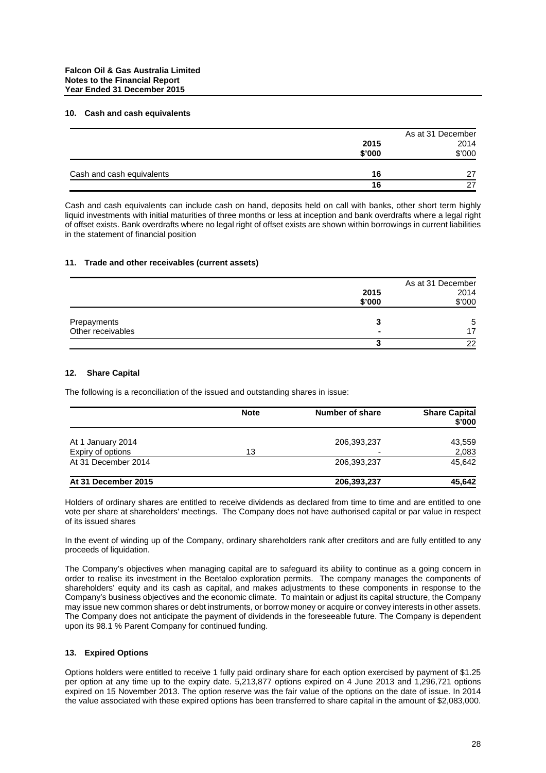## **10. Cash and cash equivalents**

|                                 |        | As at 31 December |
|---------------------------------|--------|-------------------|
|                                 | 2015   | 2014              |
|                                 | \$'000 | \$'000            |
| 16<br>Cash and cash equivalents | 27     |                   |
|                                 | 16     | 27                |

Cash and cash equivalents can include cash on hand, deposits held on call with banks, other short term highly liquid investments with initial maturities of three months or less at inception and bank overdrafts where a legal right of offset exists. Bank overdrafts where no legal right of offset exists are shown within borrowings in current liabilities in the statement of financial position

## **11. Trade and other receivables (current assets)**

|                   | 2015<br>\$'000 | As at 31 December<br>2014<br>\$'000 |
|-------------------|----------------|-------------------------------------|
| Prepayments       | 3              | 5                                   |
| Other receivables | $\blacksquare$ | 17                                  |
|                   | ×.             | 22                                  |

## **12. Share Capital**

The following is a reconciliation of the issued and outstanding shares in issue:

|                     | <b>Note</b> | Number of share | <b>Share Capital</b><br>\$'000 |
|---------------------|-------------|-----------------|--------------------------------|
| At 1 January 2014   |             | 206,393,237     | 43,559                         |
| Expiry of options   | 13          |                 | 2,083                          |
| At 31 December 2014 |             | 206,393,237     | 45.642                         |
| At 31 December 2015 |             | 206,393,237     | 45,642                         |

Holders of ordinary shares are entitled to receive dividends as declared from time to time and are entitled to one vote per share at shareholders' meetings. The Company does not have authorised capital or par value in respect of its issued shares

In the event of winding up of the Company, ordinary shareholders rank after creditors and are fully entitled to any proceeds of liquidation.

The Company's objectives when managing capital are to safeguard its ability to continue as a going concern in order to realise its investment in the Beetaloo exploration permits. The company manages the components of shareholders' equity and its cash as capital, and makes adjustments to these components in response to the Company's business objectives and the economic climate. To maintain or adjust its capital structure, the Company may issue new common shares or debt instruments, or borrow money or acquire or convey interests in other assets. The Company does not anticipate the payment of dividends in the foreseeable future. The Company is dependent upon its 98.1 % Parent Company for continued funding.

## **13. Expired Options**

Options holders were entitled to receive 1 fully paid ordinary share for each option exercised by payment of \$1.25 per option at any time up to the expiry date. 5,213,877 options expired on 4 June 2013 and 1,296,721 options expired on 15 November 2013. The option reserve was the fair value of the options on the date of issue. In 2014 the value associated with these expired options has been transferred to share capital in the amount of \$2,083,000.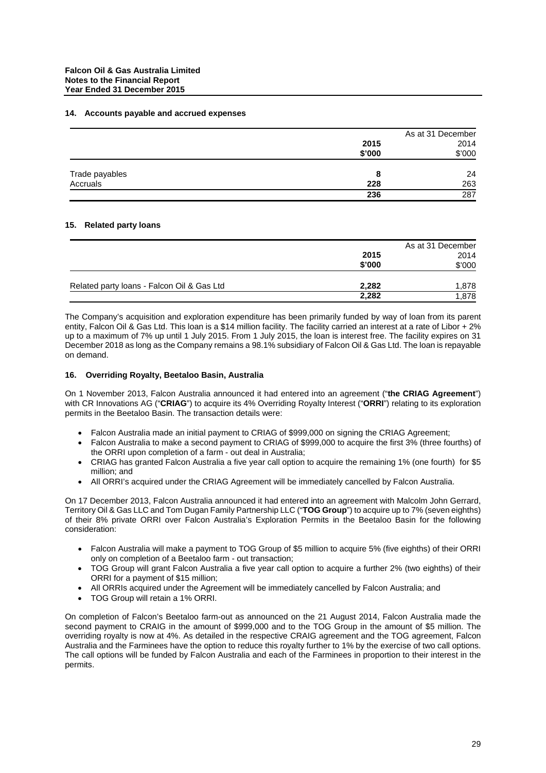## **14. Accounts payable and accrued expenses**

|                |        | As at 31 December |
|----------------|--------|-------------------|
|                | 2015   | 2014              |
|                | \$'000 | \$'000            |
| Trade payables | 8      | 24                |
| Accruals       | 228    | 263               |
|                | 236    | 287               |

## **15. Related party loans**

|                                            | 2,282  | 1,878             |
|--------------------------------------------|--------|-------------------|
| Related party loans - Falcon Oil & Gas Ltd | 2,282  | 1,878             |
|                                            | \$'000 | \$'000            |
|                                            | 2015   | 2014              |
|                                            |        | As at 31 December |

The Company's acquisition and exploration expenditure has been primarily funded by way of loan from its parent entity, Falcon Oil & Gas Ltd. This loan is a \$14 million facility. The facility carried an interest at a rate of Libor + 2% up to a maximum of 7% up until 1 July 2015. From 1 July 2015, the loan is interest free. The facility expires on 31 December 2018 as long as the Company remains a 98.1% subsidiary of Falcon Oil & Gas Ltd. The loan is repayable on demand.

## **16. Overriding Royalty, Beetaloo Basin, Australia**

On 1 November 2013, Falcon Australia announced it had entered into an agreement ("**the CRIAG Agreement**") with CR Innovations AG ("**CRIAG**") to acquire its 4% Overriding Royalty Interest ("**ORRI**") relating to its exploration permits in the Beetaloo Basin. The transaction details were:

- Falcon Australia made an initial payment to CRIAG of \$999,000 on signing the CRIAG Agreement;
- Falcon Australia to make a second payment to CRIAG of \$999,000 to acquire the first 3% (three fourths) of the ORRI upon completion of a farm - out deal in Australia;
- CRIAG has granted Falcon Australia a five year call option to acquire the remaining 1% (one fourth) for \$5 million; and
- All ORRI's acquired under the CRIAG Agreement will be immediately cancelled by Falcon Australia.

On 17 December 2013, Falcon Australia announced it had entered into an agreement with Malcolm John Gerrard, Territory Oil & Gas LLC and Tom Dugan Family Partnership LLC ("**TOG Group**") to acquire up to 7% (seven eighths) of their 8% private ORRI over Falcon Australia's Exploration Permits in the Beetaloo Basin for the following consideration:

- Falcon Australia will make a payment to TOG Group of \$5 million to acquire 5% (five eighths) of their ORRI only on completion of a Beetaloo farm - out transaction;
- TOG Group will grant Falcon Australia a five year call option to acquire a further 2% (two eighths) of their ORRI for a payment of \$15 million;
- All ORRIs acquired under the Agreement will be immediately cancelled by Falcon Australia; and
- TOG Group will retain a 1% ORRI.

On completion of Falcon's Beetaloo farm-out as announced on the 21 August 2014, Falcon Australia made the second payment to CRAIG in the amount of \$999,000 and to the TOG Group in the amount of \$5 million. The overriding royalty is now at 4%. As detailed in the respective CRAIG agreement and the TOG agreement, Falcon Australia and the Farminees have the option to reduce this royalty further to 1% by the exercise of two call options. The call options will be funded by Falcon Australia and each of the Farminees in proportion to their interest in the permits.